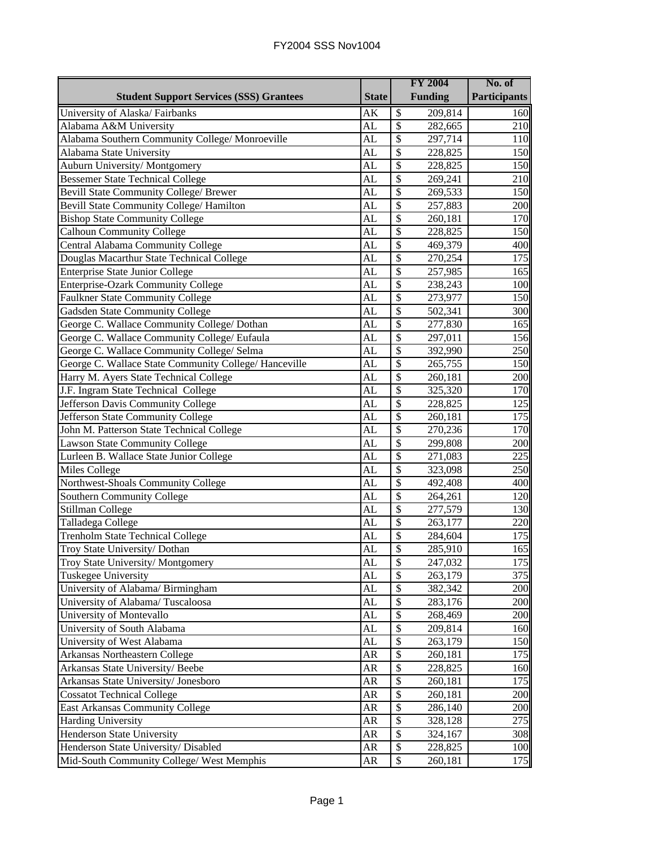|                                                       |                     |                           | <b>FY 2004</b> | No. of              |
|-------------------------------------------------------|---------------------|---------------------------|----------------|---------------------|
| <b>Student Support Services (SSS) Grantees</b>        | <b>State</b>        |                           | <b>Funding</b> | <b>Participants</b> |
| University of Alaska/Fairbanks                        | $\overline{\rm AK}$ | $\overline{\mathcal{S}}$  | 209,814        | 160                 |
| Alabama A&M University                                | AL                  | $\overline{\$}$           | 282,665        | 210                 |
| Alabama Southern Community College/ Monroeville       | AL                  | $\overline{\$}$           | 297,714        | 110                 |
| Alabama State University                              | AL                  | $\boldsymbol{\mathsf{S}}$ | 228,825        | 150                 |
| <b>Auburn University/Montgomery</b>                   | AL                  | $\boldsymbol{\mathsf{S}}$ | 228,825        | 150                 |
| <b>Bessemer State Technical College</b>               | AL                  | $\boldsymbol{\mathsf{S}}$ | 269,241        | 210                 |
| <b>Bevill State Community College/ Brewer</b>         | AL                  | $\boldsymbol{\mathsf{S}}$ | 269,533        | 150                 |
| Bevill State Community College/ Hamilton              | AL                  | \$                        | 257,883        | 200                 |
| <b>Bishop State Community College</b>                 | AL                  | $\boldsymbol{\mathsf{S}}$ | 260,181        | 170                 |
| <b>Calhoun Community College</b>                      | AL                  | $\overline{\$}$           | 228,825        | 150                 |
| Central Alabama Community College                     | AL                  | $\overline{\$}$           | 469,379        | 400                 |
| Douglas Macarthur State Technical College             | AL                  | $\boldsymbol{\mathsf{S}}$ | 270,254        | 175                 |
| <b>Enterprise State Junior College</b>                | AL                  | $\overline{\$}$           | 257,985        | 165                 |
| Enterprise-Ozark Community College                    | AL                  | $\overline{\$}$           | 238,243        | 100                 |
| Faulkner State Community College                      | AL                  | $\overline{\$}$           | 273,977        | 150                 |
| <b>Gadsden State Community College</b>                | AL                  | $\overline{\$}$           | 502,341        | 300                 |
| George C. Wallace Community College/ Dothan           | AL                  | $\overline{\$}$           | 277,830        | 165                 |
| George C. Wallace Community College/ Eufaula          | AL                  | $\overline{\$}$           | 297,011        | 156                 |
| George C. Wallace Community College/ Selma            | AL                  | $\overline{\$}$           | 392,990        | 250                 |
| George C. Wallace State Community College/ Hanceville | AL                  | $\overline{\$}$           | 265,755        | 150                 |
| Harry M. Ayers State Technical College                | AL                  | $\overline{\$}$           | 260,181        | 200                 |
| J.F. Ingram State Technical College                   | AL                  | \$                        | 325,320        | 170                 |
| Jefferson Davis Community College                     | AL                  | $\boldsymbol{\mathsf{S}}$ | 228,825        | 125                 |
| Jefferson State Community College                     | AL                  | \$                        | 260,181        | 175                 |
| John M. Patterson State Technical College             | AL                  | \$                        | 270,236        | 170                 |
| <b>Lawson State Community College</b>                 | AL                  | $\boldsymbol{\mathsf{S}}$ | 299,808        | 200                 |
| Lurleen B. Wallace State Junior College               | AL                  | $\boldsymbol{\mathsf{S}}$ | 271,083        | 225                 |
| <b>Miles College</b>                                  | AL                  | $\boldsymbol{\mathsf{S}}$ | 323,098        | 250                 |
| Northwest-Shoals Community College                    | AL                  | $\boldsymbol{\mathsf{S}}$ | 492,408        | 400                 |
| Southern Community College                            | AL                  | $\overline{\$}$           | 264,261        | 120                 |
| Stillman College                                      | <b>AL</b>           | $\overline{\$}$           | 277,579        | 130                 |
| Talladega College                                     | AL                  | $\overline{\$}$           | 263,177        | 220                 |
| <b>Trenholm State Technical College</b>               | AL                  | $\boldsymbol{\mathsf{S}}$ | 284,604        | 175                 |
| Troy State University/ Dothan                         | AL                  | $\overline{\mathcal{S}}$  | 285,910        | 165                 |
| Troy State University/Montgomery                      | AL                  | $\mathbb{S}$              | 247,032        | 175                 |
| <b>Tuskegee University</b>                            | AL                  | $\boldsymbol{\mathsf{S}}$ | 263,179        | 375                 |
| University of Alabama/ Birmingham                     | AL                  | \$                        | 382,342        | 200                 |
| University of Alabama/Tuscaloosa                      | AL                  | \$                        | 283,176        | 200                 |
| University of Montevallo                              | AL                  | \$                        | 268,469        | 200                 |
| University of South Alabama                           | AL                  | \$                        | 209,814        | 160                 |
| University of West Alabama                            | AL                  | \$                        | 263,179        | 150                 |
| Arkansas Northeastern College                         | AR                  | \$                        | 260,181        | 175                 |
| Arkansas State University/ Beebe                      | <b>AR</b>           | $\boldsymbol{\mathsf{S}}$ | 228,825        | 160                 |
| Arkansas State University/ Jonesboro                  | AR                  | \$                        | 260,181        | 175                 |
| <b>Cossatot Technical College</b>                     | <b>AR</b>           | \$                        | 260,181        | 200                 |
| East Arkansas Community College                       | AR                  | $\overline{\$}$           | 286,140        | 200                 |
| <b>Harding University</b>                             | AR                  | \$                        | 328,128        | 275                 |
| Henderson State University                            | AR                  | $\overline{\$}$           | 324,167        | 308                 |
| Henderson State University/ Disabled                  | AR                  | \$                        | 228,825        | 100                 |
| Mid-South Community College/ West Memphis             | AR                  | \$                        | 260,181        | 175                 |

## FY2004 SSS Nov1004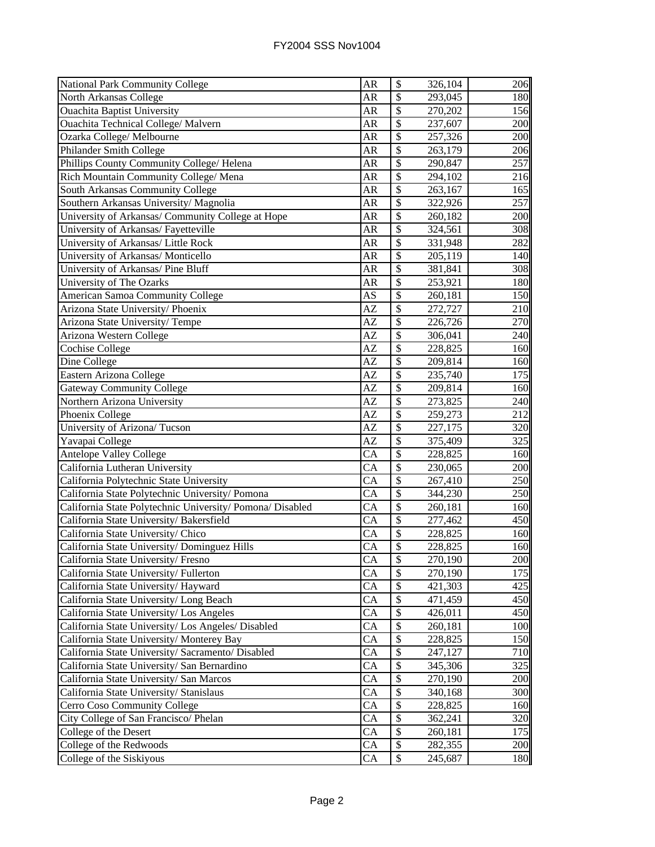| National Park Community College                           | AR                     | \$                       | 326,104 | 206 |
|-----------------------------------------------------------|------------------------|--------------------------|---------|-----|
| North Arkansas College                                    | AR                     | \$                       | 293,045 | 180 |
| <b>Ouachita Baptist University</b>                        | AR                     | \$                       | 270,202 | 156 |
| <b>Ouachita Technical College/ Malvern</b>                | <b>AR</b>              | \$                       | 237,607 | 200 |
| Ozarka College/ Melbourne                                 | AR                     | \$                       | 257,326 | 200 |
| Philander Smith College                                   | <b>AR</b>              | \$                       | 263,179 | 206 |
| Phillips County Community College/ Helena                 | <b>AR</b>              | \$                       | 290,847 | 257 |
| Rich Mountain Community College/ Mena                     | <b>AR</b>              | $\mathcal{S}$            | 294,102 | 216 |
| South Arkansas Community College                          | AR                     | \$                       | 263,167 | 165 |
| Southern Arkansas University/ Magnolia                    | AR                     | \$                       | 322,926 | 257 |
| University of Arkansas/ Community College at Hope         | <b>AR</b>              | \$                       | 260,182 | 200 |
| University of Arkansas/ Fayetteville                      | <b>AR</b>              | \$                       | 324,561 | 308 |
| University of Arkansas/ Little Rock                       | AR                     | \$                       | 331,948 | 282 |
| University of Arkansas/ Monticello                        | <b>AR</b>              | \$                       | 205,119 | 140 |
| University of Arkansas/ Pine Bluff                        | AR                     | \$                       | 381,841 | 308 |
| University of The Ozarks                                  | AR                     | \$                       | 253,921 | 180 |
| American Samoa Community College                          | AS                     | \$                       | 260,181 | 150 |
| Arizona State University/ Phoenix                         | AZ                     | $\overline{\$}$          | 272,727 | 210 |
| Arizona State University/Tempe                            | AZ                     | \$                       | 226,726 | 270 |
| Arizona Western College                                   | AZ                     | \$                       | 306,041 | 240 |
| <b>Cochise College</b>                                    | AZ                     | \$                       | 228,825 | 160 |
| Dine College                                              | AZ                     | \$                       | 209,814 | 160 |
| Eastern Arizona College                                   | AZ                     | \$                       | 235,740 | 175 |
| <b>Gateway Community College</b>                          | AZ                     | \$                       | 209,814 | 160 |
| Northern Arizona University                               | AZ                     | $\overline{\$}$          | 273,825 | 240 |
| Phoenix College                                           | AZ                     | \$                       | 259,273 | 212 |
| University of Arizona/Tucson                              | AZ                     | \$                       | 227,175 | 320 |
| Yavapai College                                           | AZ                     | $\overline{\$}$          | 375,409 | 325 |
| Antelope Valley College                                   | $\overline{\text{CA}}$ | \$                       | 228,825 | 160 |
| California Lutheran University                            | $\overline{CA}$        | $\overline{\mathcal{S}}$ | 230,065 | 200 |
| California Polytechnic State University                   | CA                     | $\overline{\mathcal{S}}$ | 267,410 | 250 |
| California State Polytechnic University/ Pomona           | $\overline{CA}$        | $\overline{\mathcal{S}}$ | 344,230 | 250 |
| California State Polytechnic University/ Pomona/ Disabled | $\overline{CA}$        | \$                       | 260,181 | 160 |
| California State University/ Bakersfield                  | $\overline{CA}$        | \$                       | 277,462 | 450 |
| California State University/ Chico                        | <b>CA</b>              | $\overline{\$}$          | 228,825 | 160 |
| California State University/ Dominguez Hills              | CA                     | \$                       | 228,825 | 160 |
| California State University/Fresno                        | CA                     | \$                       | 270,190 | 200 |
| California State University/Fullerton                     | CA                     | \$                       | 270,190 | 175 |
| California State University/ Hayward                      | CA                     | \$                       | 421,303 | 425 |
| California State University/ Long Beach                   | CA                     | \$                       | 471,459 | 450 |
| California State University/ Los Angeles                  | CA                     | $\mathcal{S}$            | 426,011 | 450 |
| California State University/ Los Angeles/ Disabled        | CA                     | \$                       | 260,181 | 100 |
| California State University/ Monterey Bay                 | CA                     | \$                       | 228,825 | 150 |
| California State University/ Sacramento/ Disabled         | CA                     | \$                       | 247,127 | 710 |
| California State University/ San Bernardino               | CA                     | \$                       | 345,306 | 325 |
| California State University/ San Marcos                   | <b>CA</b>              | \$                       | 270,190 | 200 |
| California State University/ Stanislaus                   | CA                     | \$                       | 340,168 | 300 |
| Cerro Coso Community College                              | <b>CA</b>              | \$                       | 228,825 | 160 |
| City College of San Francisco/ Phelan                     | CA                     | \$                       | 362,241 | 320 |
| College of the Desert                                     | <b>CA</b>              | \$                       | 260,181 | 175 |
| College of the Redwoods                                   | CA                     | \$                       | 282,355 | 200 |
| College of the Siskiyous                                  | CA                     | \$                       | 245,687 | 180 |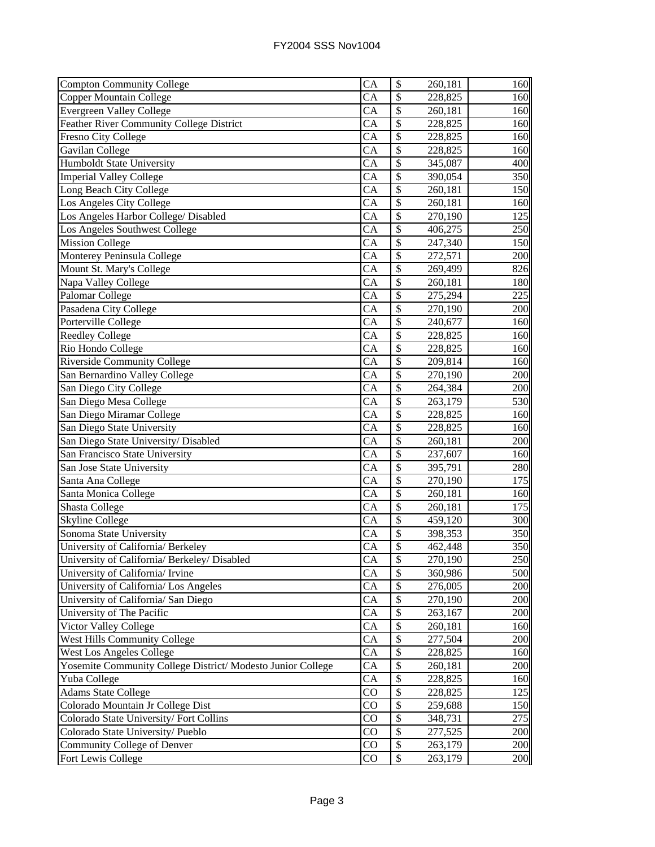| <b>Compton Community College</b>                            | CA                     | $\boldsymbol{\$}$         | 260,181              | 160 |
|-------------------------------------------------------------|------------------------|---------------------------|----------------------|-----|
| <b>Copper Mountain College</b>                              | CA                     | \$                        | 228,825              | 160 |
| <b>Evergreen Valley College</b>                             | CA                     | \$                        | 260,181              | 160 |
| <b>Feather River Community College District</b>             | $\overline{CA}$        | $\overline{\$}$           | 228,825              | 160 |
| Fresno City College                                         | <b>CA</b>              | $\overline{\mathcal{S}}$  | 228,825              | 160 |
| Gavilan College                                             | CA                     | \$                        | 228,825              | 160 |
| Humboldt State University                                   | CA                     | \$                        | 345,087              | 400 |
| <b>Imperial Valley College</b>                              | CA                     | \$                        | 390,054              | 350 |
| Long Beach City College                                     | CA                     | $\mathcal{S}$             | 260,181              | 150 |
| Los Angeles City College                                    | CA                     | \$                        | 260,181              | 160 |
| Los Angeles Harbor College/ Disabled                        | CA                     | \$                        | 270,190              | 125 |
| Los Angeles Southwest College                               | CA                     | \$                        | 406,275              | 250 |
| <b>Mission College</b>                                      | CA                     | \$                        | 247,340              | 150 |
| Monterey Peninsula College                                  | <b>CA</b>              | \$                        | 272,571              | 200 |
| Mount St. Mary's College                                    | <b>CA</b>              | $\overline{\$}$           | 269,499              | 826 |
| Napa Valley College                                         | <b>CA</b>              | \$                        | 260,181              | 180 |
| Palomar College                                             | <b>CA</b>              | \$                        | 275,294              | 225 |
| Pasadena City College                                       | $\overline{CA}$        | \$                        | 270,190              | 200 |
| Porterville College                                         | CA                     | \$                        | 240,677              | 160 |
| <b>Reedley College</b>                                      | CA                     | \$                        | 228,825              | 160 |
| Rio Hondo College                                           | CA                     | \$                        | 228,825              | 160 |
| <b>Riverside Community College</b>                          | CA                     | \$                        | 209,814              | 160 |
| San Bernardino Valley College                               | CA                     | \$                        | 270,190              | 200 |
| San Diego City College                                      | CA                     | \$                        | 264,384              | 200 |
| San Diego Mesa College                                      | CA                     | \$                        | 263,179              | 530 |
| San Diego Miramar College                                   | CA                     | $\overline{\$}$           | 228,825              | 160 |
| San Diego State University                                  | CA                     | $\overline{\$}$           | 228,825              | 160 |
| San Diego State University/Disabled                         | CA                     | \$                        | 260,181              | 200 |
| San Francisco State University                              | $\overline{CA}$        | $\overline{\$}$           | 237,607              | 160 |
| San Jose State University                                   | $\overline{\text{CA}}$ | $\overline{\mathcal{S}}$  | 395,791              | 280 |
| Santa Ana College                                           | $\overline{\text{CA}}$ | $\overline{\mathcal{S}}$  | $\overline{270,}190$ | 175 |
| Santa Monica College                                        | CA                     | $\overline{\mathcal{S}}$  | 260,181              | 160 |
| Shasta College                                              | CA                     | \$                        | 260,181              | 175 |
| <b>Skyline College</b>                                      | <b>CA</b>              | \$                        | 459,120              | 300 |
| Sonoma State University                                     | $\overline{CA}$        | \$                        | 398,353              | 350 |
| University of California/ Berkeley                          | CA                     | $\overline{\$}$           | 462,448              | 350 |
| University of California/ Berkeley/ Disabled                | CA                     | $\boldsymbol{\mathsf{S}}$ | 270,190              | 250 |
| University of California/ Irvine                            | CA                     | \$                        | 360,986              | 500 |
| University of California/ Los Angeles                       | CA                     | \$                        | 276,005              | 200 |
| University of California/ San Diego                         | CA                     | \$                        | 270,190              | 200 |
| University of The Pacific                                   | CA                     | \$                        | 263,167              | 200 |
| Victor Valley College                                       | CA                     | \$                        | 260,181              | 160 |
| <b>West Hills Community College</b>                         | CA                     | \$                        | 277,504              | 200 |
| <b>West Los Angeles College</b>                             | CA                     | \$                        | 228,825              | 160 |
| Yosemite Community College District/ Modesto Junior College | CA                     | $\boldsymbol{\mathsf{S}}$ | 260,181              | 200 |
| Yuba College                                                | CA                     | \$                        | 228,825              | 160 |
| <b>Adams State College</b>                                  | CO                     | \$                        | 228,825              | 125 |
| Colorado Mountain Jr College Dist                           | CO                     | \$                        | 259,688              | 150 |
| Colorado State University/Fort Collins                      | CO                     | $\boldsymbol{\mathsf{S}}$ | 348,731              | 275 |
| Colorado State University/Pueblo                            | CO                     | $\boldsymbol{\mathsf{S}}$ | 277,525              | 200 |
| Community College of Denver                                 | CO                     | \$                        | 263,179              | 200 |
| Fort Lewis College                                          | CO                     | \$                        | 263,179              | 200 |
|                                                             |                        |                           |                      |     |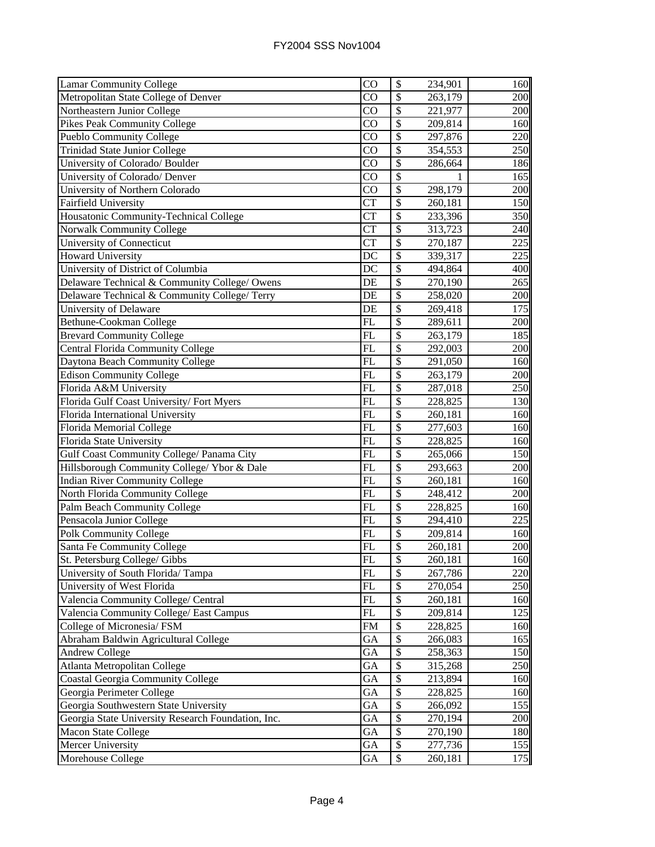| <b>Lamar Community College</b>                     | $\overline{C}O$        | \$              | 234,901 | 160              |
|----------------------------------------------------|------------------------|-----------------|---------|------------------|
| Metropolitan State College of Denver               | $\overline{C}O$        | $\overline{\$}$ | 263,179 | 200              |
| Northeastern Junior College                        | $\overline{C}O$        | $\overline{\$}$ | 221,977 | 200              |
| <b>Pikes Peak Community College</b>                | CO                     | $\overline{\$}$ | 209,814 | 160              |
| <b>Pueblo Community College</b>                    | $\overline{\text{CO}}$ | \$              | 297,876 | 220              |
| Trinidad State Junior College                      | CO                     | \$              | 354,553 | 250              |
| University of Colorado/ Boulder                    | CO                     | \$              | 286,664 | 186              |
| University of Colorado/ Denver                     | CO                     | \$              |         | 165              |
| University of Northern Colorado                    | CO                     | $\mathcal{S}$   | 298,179 | 200              |
| <b>Fairfield University</b>                        | <b>CT</b>              | \$              | 260,181 | 150              |
| Housatonic Community-Technical College             | <b>CT</b>              | $\overline{\$}$ | 233,396 | 350              |
| Norwalk Community College                          | <b>CT</b>              | \$              | 313,723 | 240              |
| University of Connecticut                          | <b>CT</b>              | \$              | 270,187 | 225              |
| <b>Howard University</b>                           | $\overline{DC}$        | \$              | 339,317 | 225              |
| University of District of Columbia                 | $\overline{DC}$        | \$              | 494,864 | 400              |
| Delaware Technical & Community College/ Owens      | DE                     | \$              | 270,190 | 265              |
| Delaware Technical & Community College/Terry       | DE                     | $\overline{\$}$ | 258,020 | 200              |
| University of Delaware                             | DE                     | \$              | 269,418 | 175              |
| Bethune-Cookman College                            | FL                     | $\overline{\$}$ | 289,611 | 200              |
| <b>Brevard Community College</b>                   | FL                     | \$              | 263,179 | 185              |
| <b>Central Florida Community College</b>           | FL                     | \$              | 292,003 | 200              |
| Daytona Beach Community College                    | FL                     | \$              | 291,050 | 160              |
| <b>Edison Community College</b>                    | FL                     | \$              | 263,179 | 200              |
| Florida A&M University                             | FL                     | \$              | 287,018 | 250              |
| Florida Gulf Coast University/Fort Myers           | <b>FL</b>              | \$              | 228,825 | 130              |
| Florida International University                   | FL                     | $\overline{\$}$ | 260,181 | 160              |
| Florida Memorial College                           | FL                     | $\overline{\$}$ | 277,603 | 160              |
| Florida State University                           | FL                     | \$              | 228,825 | 160              |
| Gulf Coast Community College/ Panama City          | $\overline{FL}$        | $\overline{\$}$ | 265,066 | 150              |
| Hillsborough Community College/ Ybor & Dale        | FL                     | \$              | 293,663 | 200              |
| <b>Indian River Community College</b>              | $\overline{\text{FL}}$ | $\overline{\$}$ | 260,181 | 160              |
| North Florida Community College                    | FL                     | $\overline{\$}$ | 248,412 | 200              |
| Palm Beach Community College                       | FL                     | $\overline{\$}$ | 228,825 | 160              |
| Pensacola Junior College                           | FL                     | \$              | 294,410 | 225              |
| Polk Community College                             | $\overline{\text{FL}}$ | \$              | 209,814 | 160              |
| Santa Fe Community College                         | FL                     | \$              | 260,181 | 200              |
| St. Petersburg College/ Gibbs                      | $\overline{FL}$        | P               | 260,181 | $\overline{160}$ |
| University of South Florida/Tampa                  | FL                     | \$              | 267,786 | 220              |
| University of West Florida                         | FL                     | \$              | 270,054 | 250              |
| Valencia Community College/ Central                | FL                     | \$              | 260,181 | 160              |
| Valencia Community College/ East Campus            | FL                     | \$              | 209,814 | 125              |
| College of Micronesia/ FSM                         | <b>FM</b>              | $\mathcal{S}$   | 228,825 | 160              |
| Abraham Baldwin Agricultural College               | GA                     | \$              | 266,083 | 165              |
| <b>Andrew College</b>                              | GA                     | \$              | 258,363 | 150              |
| Atlanta Metropolitan College                       | GA                     | \$              | 315,268 | 250              |
| <b>Coastal Georgia Community College</b>           | GA                     | \$              | 213,894 | 160              |
| Georgia Perimeter College                          | GA                     | \$              | 228,825 | 160              |
| Georgia Southwestern State University              | GA                     | \$              | 266,092 | 155              |
| Georgia State University Research Foundation, Inc. | GA                     | \$              | 270,194 | 200              |
| Macon State College                                | GA                     | \$              | 270,190 | 180              |
| Mercer University                                  | GA                     | \$              | 277,736 | 155              |
| Morehouse College                                  | GA                     | \$              | 260,181 | 175              |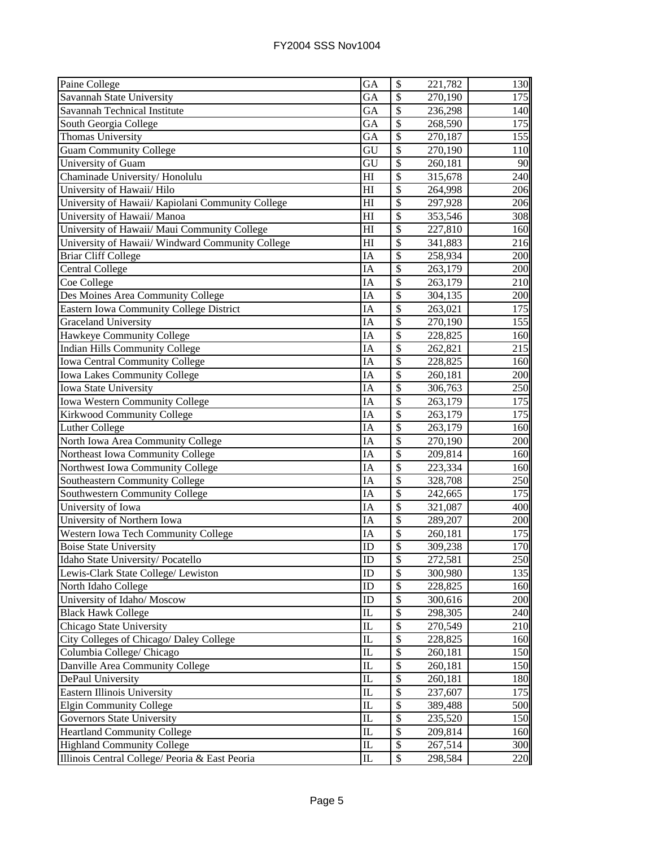| Paine College                                     | <b>GA</b>                       | \$                       | 221,782 | 130  |
|---------------------------------------------------|---------------------------------|--------------------------|---------|------|
| Savannah State University                         | GA                              | \$                       | 270,190 | 175  |
| Savannah Technical Institute                      | GA                              | \$                       | 236,298 | 140  |
| South Georgia College                             | GA                              | \$                       | 268,590 | 175  |
| Thomas University                                 | GA                              | \$                       | 270,187 | 155  |
| <b>Guam Community College</b>                     | GU                              | \$                       | 270,190 | 110  |
| University of Guam                                | $\overline{\mathrm{GU}}$        | $\overline{\mathcal{S}}$ | 260,181 | 90   |
| Chaminade University/Honolulu                     | H1                              | $\overline{\$}$          | 315,678 | 240  |
| University of Hawaii/ Hilo                        | H <sub>I</sub>                  | $\overline{\$}$          | 264,998 | 206  |
| University of Hawaii/ Kapiolani Community College | H1                              | \$                       | 297,928 | 206  |
| University of Hawaii/ Manoa                       | H                               | \$                       | 353,546 | 308  |
| University of Hawaii/ Maui Community College      | H1                              | \$                       | 227,810 | 160  |
| University of Hawaii/ Windward Community College  | H1                              | \$                       | 341,883 | 216  |
| <b>Briar Cliff College</b>                        | IA                              | $\overline{\$}$          | 258,934 | 200  |
| <b>Central College</b>                            | IA                              | $\overline{\$}$          | 263,179 | 200  |
| Coe College                                       | IA                              | \$                       | 263,179 | 210  |
| Des Moines Area Community College                 | ΙA                              | \$                       | 304,135 | 200  |
| <b>Eastern Iowa Community College District</b>    | IA                              | \$                       | 263,021 | 175  |
| <b>Graceland University</b>                       | IA                              | \$                       | 270,190 | 155  |
| Hawkeye Community College                         | IA                              | \$                       | 228,825 | 160  |
| <b>Indian Hills Community College</b>             | IA                              | \$                       | 262,821 | 215  |
| Iowa Central Community College                    | IA                              | \$                       | 228,825 | 160  |
| <b>Iowa Lakes Community College</b>               | IA                              | \$                       | 260,181 | 200  |
| Iowa State University                             | IA                              | \$                       | 306,763 | 250  |
| Iowa Western Community College                    | IA                              | $\overline{\$}$          | 263,179 | 175  |
| <b>Kirkwood Community College</b>                 | IA                              | \$                       | 263,179 | 175  |
| <b>Luther College</b>                             | IA                              | \$                       | 263,179 | 160  |
| North Iowa Area Community College                 | IA                              | \$                       | 270,190 | 200  |
| Northeast Iowa Community College                  | IA                              | $\overline{\$}$          | 209,814 | 160  |
| Northwest Iowa Community College                  | IA                              | \$                       | 223,334 | 160  |
| <b>Southeastern Community College</b>             | IA                              | $\overline{\$}$          | 328,708 | 250  |
| Southwestern Community College                    | IA                              | $\overline{\$}$          | 242,665 | 175  |
| University of Iowa                                | ĪĀ                              | \$                       | 321,087 | 400  |
| University of Northern Iowa                       | ΙA                              | $\overline{\$}$          | 289,207 | 200  |
| Western Iowa Tech Community College               | IA                              | \$                       | 260,181 | 175  |
| <b>Boise State University</b>                     | ID                              | \$                       | 309,238 | 170  |
| Idaho State University/Pocatello                  | ID                              | \$                       | 272,581 | 250I |
| Lewis-Clark State College/ Lewiston               | ID                              | \$                       | 300,980 | 135  |
| North Idaho College                               | ID                              | \$                       | 228,825 | 160  |
| University of Idaho/ Moscow                       | ID                              | $\mathcal{S}$            | 300,616 | 200  |
| <b>Black Hawk College</b>                         | IL                              | \$                       | 298,305 | 240  |
| Chicago State University                          | IL                              | \$                       | 270,549 | 210  |
| City Colleges of Chicago/ Daley College           | IL                              | \$                       | 228,825 | 160  |
| Columbia College/ Chicago                         | $\mathop{\mathrm{IL}}\nolimits$ | \$                       | 260,181 | 150  |
| Danville Area Community College                   | IL                              | \$                       | 260,181 | 150  |
| DePaul University                                 | IL                              | \$                       | 260,181 | 180  |
| Eastern Illinois University                       | IL                              | \$                       | 237,607 | 175  |
| <b>Elgin Community College</b>                    | $\mathbf{I}$                    | \$                       | 389,488 | 500  |
| Governors State University                        | $\overline{\text{IL}}$          | \$                       | 235,520 | 150  |
| <b>Heartland Community College</b>                | $\mathbf{I}$                    | \$                       | 209,814 | 160  |
| <b>Highland Community College</b>                 | $\mathop{\mathrm{IL}}\nolimits$ | \$                       | 267,514 | 300  |
| Illinois Central College/ Peoria & East Peoria    | $_{\rm IL}$                     | \$                       | 298,584 | 220  |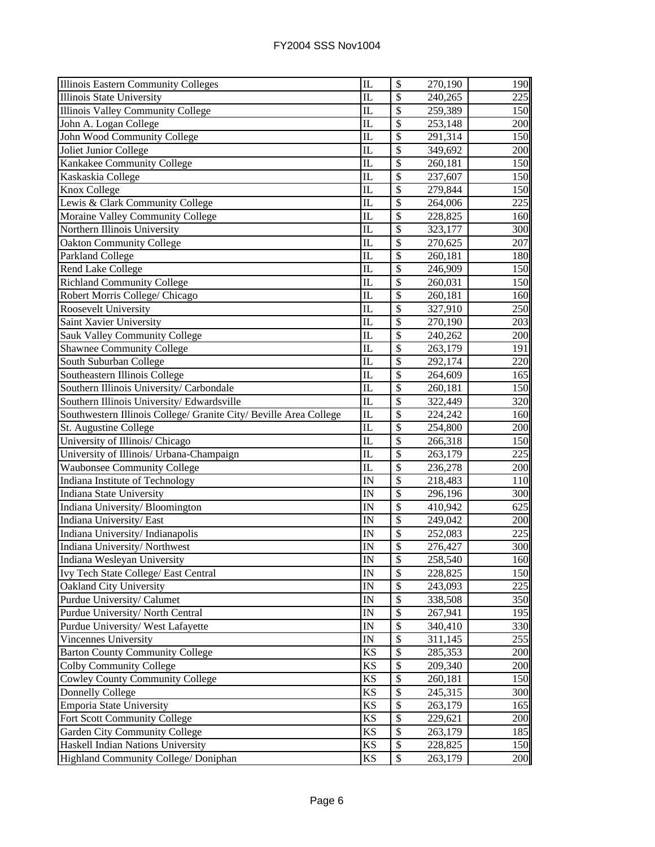| <b>Illinois Eastern Community Colleges</b>                                                                                                                                                                                                                                                                                                                                                                       | IL                      | \$              | 270,190 | 190 |
|------------------------------------------------------------------------------------------------------------------------------------------------------------------------------------------------------------------------------------------------------------------------------------------------------------------------------------------------------------------------------------------------------------------|-------------------------|-----------------|---------|-----|
| <b>Illinois State University</b>                                                                                                                                                                                                                                                                                                                                                                                 | $\overline{\text{IL}}$  | \$              | 240,265 | 225 |
| Illinois Valley Community College                                                                                                                                                                                                                                                                                                                                                                                | $\overline{\text{IL}}$  | \$              | 259,389 | 150 |
| John A. Logan College                                                                                                                                                                                                                                                                                                                                                                                            | $\overline{\text{IL}}$  | $\overline{\$}$ | 253,148 | 200 |
| <b>John Wood Community College</b>                                                                                                                                                                                                                                                                                                                                                                               | IL                      | \$              | 291,314 | 150 |
| Joliet Junior College                                                                                                                                                                                                                                                                                                                                                                                            | IL                      | \$              | 349,692 | 200 |
| Kankakee Community College                                                                                                                                                                                                                                                                                                                                                                                       | IL                      | \$              | 260,181 | 150 |
| Kaskaskia College                                                                                                                                                                                                                                                                                                                                                                                                | IL                      | \$              | 237,607 | 150 |
| Knox College                                                                                                                                                                                                                                                                                                                                                                                                     | IL                      | \$              | 279,844 | 150 |
| Lewis & Clark Community College                                                                                                                                                                                                                                                                                                                                                                                  | $\mathbf{I}$            | \$              | 264,006 | 225 |
| Moraine Valley Community College                                                                                                                                                                                                                                                                                                                                                                                 | IL                      | \$              | 228,825 | 160 |
| Northern Illinois University                                                                                                                                                                                                                                                                                                                                                                                     | IL                      | \$              | 323,177 | 300 |
| <b>Oakton Community College</b>                                                                                                                                                                                                                                                                                                                                                                                  | IL                      | \$              | 270,625 | 207 |
| Parkland College                                                                                                                                                                                                                                                                                                                                                                                                 | IL                      | \$              | 260,181 | 180 |
| Rend Lake College                                                                                                                                                                                                                                                                                                                                                                                                | IL                      | \$              | 246,909 | 150 |
| <b>Richland Community College</b>                                                                                                                                                                                                                                                                                                                                                                                | IL                      | \$              | 260,031 | 150 |
| Robert Morris College/ Chicago                                                                                                                                                                                                                                                                                                                                                                                   | IL                      | \$              | 260,181 | 160 |
| Roosevelt University                                                                                                                                                                                                                                                                                                                                                                                             | $\overline{\text{IL}}$  | \$              | 327,910 | 250 |
| Saint Xavier University                                                                                                                                                                                                                                                                                                                                                                                          | IL                      | \$              | 270,190 | 203 |
| <b>Sauk Valley Community College</b>                                                                                                                                                                                                                                                                                                                                                                             | IL                      | \$              | 240,262 | 200 |
| <b>Shawnee Community College</b>                                                                                                                                                                                                                                                                                                                                                                                 | IL                      | \$              | 263,179 | 191 |
| South Suburban College                                                                                                                                                                                                                                                                                                                                                                                           | IL                      | \$              | 292,174 | 220 |
| Southeastern Illinois College                                                                                                                                                                                                                                                                                                                                                                                    | IL                      | \$              | 264,609 | 165 |
| Southern Illinois University/ Carbondale                                                                                                                                                                                                                                                                                                                                                                         | IL                      | \$              | 260,181 | 150 |
| Southern Illinois University/Edwardsville                                                                                                                                                                                                                                                                                                                                                                        | IL                      | \$              | 322,449 | 320 |
| Southwestern Illinois College/ Granite City/ Beville Area College                                                                                                                                                                                                                                                                                                                                                | $\overline{\text{IL}}$  | \$              | 224,242 | 160 |
| St. Augustine College                                                                                                                                                                                                                                                                                                                                                                                            | IL                      | \$              | 254,800 | 200 |
| University of Illinois/ Chicago                                                                                                                                                                                                                                                                                                                                                                                  | IL                      | \$              | 266,318 | 150 |
|                                                                                                                                                                                                                                                                                                                                                                                                                  |                         |                 |         |     |
|                                                                                                                                                                                                                                                                                                                                                                                                                  | $\overline{\text{IL}}$  | $\overline{\$}$ | 263,179 | 225 |
| <b>Waubonsee Community College</b>                                                                                                                                                                                                                                                                                                                                                                               | IL                      | \$              | 236,278 | 200 |
|                                                                                                                                                                                                                                                                                                                                                                                                                  | $\overline{\mathbb{N}}$ | \$              | 218,483 | 110 |
|                                                                                                                                                                                                                                                                                                                                                                                                                  | IN                      | $\overline{\$}$ | 296,196 | 300 |
|                                                                                                                                                                                                                                                                                                                                                                                                                  | $\overline{\mathbb{N}}$ | \$              | 410,942 | 625 |
| Indiana University/East                                                                                                                                                                                                                                                                                                                                                                                          | IN                      | \$              | 249,042 | 200 |
| Indiana University/Indianapolis                                                                                                                                                                                                                                                                                                                                                                                  | $\overline{\mathbb{N}}$ | \$              | 252,083 | 225 |
| Indiana University/Northwest                                                                                                                                                                                                                                                                                                                                                                                     | IN                      | \$              | 276,427 | 300 |
|                                                                                                                                                                                                                                                                                                                                                                                                                  | IN                      | P               | 258,540 | 160 |
|                                                                                                                                                                                                                                                                                                                                                                                                                  | IN                      | \$              | 228,825 | 150 |
|                                                                                                                                                                                                                                                                                                                                                                                                                  | IN                      | \$              | 243,093 | 225 |
| Purdue University/ Calumet                                                                                                                                                                                                                                                                                                                                                                                       | IN                      | \$              | 338,508 | 350 |
|                                                                                                                                                                                                                                                                                                                                                                                                                  | IN                      | \$              | 267,941 | 195 |
|                                                                                                                                                                                                                                                                                                                                                                                                                  | IN                      | $\mathcal{S}$   | 340,410 | 330 |
| Vincennes University                                                                                                                                                                                                                                                                                                                                                                                             | IN                      | \$              | 311,145 | 255 |
| <b>Barton County Community College</b>                                                                                                                                                                                                                                                                                                                                                                           | <b>KS</b>               | \$              | 285,353 | 200 |
| <b>Colby Community College</b>                                                                                                                                                                                                                                                                                                                                                                                   | <b>KS</b>               | \$              | 209,340 | 200 |
| <b>Cowley County Community College</b>                                                                                                                                                                                                                                                                                                                                                                           | KS                      | \$              | 260,181 | 150 |
|                                                                                                                                                                                                                                                                                                                                                                                                                  | KS                      | \$              | 245,315 | 300 |
| Emporia State University                                                                                                                                                                                                                                                                                                                                                                                         | <b>KS</b>               | \$              | 263,179 | 165 |
|                                                                                                                                                                                                                                                                                                                                                                                                                  | KS                      | \$              | 229,621 | 200 |
| University of Illinois/ Urbana-Champaign<br>Indiana Institute of Technology<br><b>Indiana State University</b><br>Indiana University/Bloomington<br>Indiana Wesleyan University<br>Ivy Tech State College/ East Central<br>Oakland City University<br>Purdue University/ North Central<br>Purdue University/ West Lafayette<br>Donnelly College<br>Fort Scott Community College<br>Garden City Community College | KS                      | \$              | 263,179 | 185 |
| Haskell Indian Nations University<br>Highland Community College/ Doniphan                                                                                                                                                                                                                                                                                                                                        | KS<br>KS                | \$<br>\$        | 228,825 | 150 |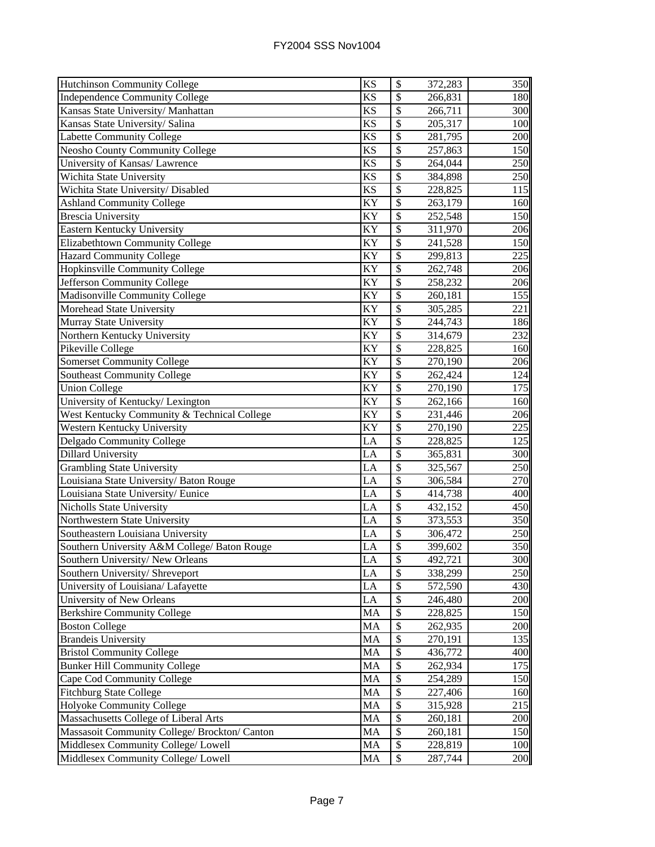| <b>Hutchinson Community College</b>           | KS              | \$                       | 372,283 | 350 |
|-----------------------------------------------|-----------------|--------------------------|---------|-----|
| <b>Independence Community College</b>         | <b>KS</b>       | \$                       | 266,831 | 180 |
| Kansas State University/ Manhattan            | $\overline{KS}$ | $\overline{\$}$          | 266,711 | 300 |
| Kansas State University/ Salina               | <b>KS</b>       | $\overline{\$}$          | 205,317 | 100 |
| <b>Labette Community College</b>              | KS              | $\overline{\$}$          | 281,795 | 200 |
| <b>Neosho County Community College</b>        | <b>KS</b>       | $\overline{\mathcal{S}}$ | 257,863 | 150 |
| University of Kansas/ Lawrence                | <b>KS</b>       | $\overline{\mathcal{S}}$ | 264,044 | 250 |
| Wichita State University                      | <b>KS</b>       | \$                       | 384,898 | 250 |
| Wichita State University/ Disabled            | <b>KS</b>       | \$                       | 228,825 | 115 |
| <b>Ashland Community College</b>              | KY              | \$                       | 263,179 | 160 |
| <b>Brescia University</b>                     | KY              | $\overline{\mathcal{S}}$ | 252,548 | 150 |
| Eastern Kentucky University                   | KY              | \$                       | 311,970 | 206 |
| Elizabethtown Community College               | KY              | \$                       | 241,528 | 150 |
| <b>Hazard Community College</b>               | KY              | $\overline{\mathcal{S}}$ | 299,813 | 225 |
| Hopkinsville Community College                | KY              | $\overline{\mathcal{S}}$ | 262,748 | 206 |
| Jefferson Community College                   | KY              | $\overline{\mathcal{S}}$ | 258,232 | 206 |
| Madisonville Community College                | KY              | $\overline{\mathcal{S}}$ | 260,181 | 155 |
| Morehead State University                     | KY              | $\overline{\mathcal{S}}$ | 305,285 | 221 |
| Murray State University                       | KY              | \$                       | 244,743 | 186 |
| Northern Kentucky University                  | KY              | $\overline{\$}$          | 314,679 | 232 |
| Pikeville College                             | KY              | \$                       | 228,825 | 160 |
| <b>Somerset Community College</b>             | KY              | \$                       | 270,190 | 206 |
| <b>Southeast Community College</b>            | KY              | \$                       | 262,424 | 124 |
| <b>Union College</b>                          | KY              | \$                       | 270,190 | 175 |
| University of Kentucky/ Lexington             | KY              | \$                       | 262,166 | 160 |
| West Kentucky Community & Technical College   | KY              | \$                       | 231,446 | 206 |
| Western Kentucky University                   | <b>KY</b>       | $\overline{\mathcal{S}}$ | 270,190 | 225 |
| Delgado Community College                     | LA              | $\overline{\$}$          | 228,825 | 125 |
| <b>Dillard University</b>                     | LA              | $\overline{\mathcal{S}}$ | 365,831 | 300 |
| <b>Grambling State University</b>             | LA              | $\overline{\$}$          | 325,567 | 250 |
| Louisiana State University/ Baton Rouge       | LA              | $\overline{\mathcal{S}}$ | 306,584 | 270 |
| Louisiana State University/Eunice             | LA              | $\overline{\mathcal{S}}$ | 414,738 | 400 |
| Nicholls State University                     | LA              | $\overline{\mathcal{S}}$ | 432,152 | 450 |
| Northwestern State University                 | LA              | $\overline{\mathcal{S}}$ | 373,553 | 350 |
| Southeastern Louisiana University             | LA              | $\overline{\mathcal{S}}$ | 306,472 | 250 |
| Southern University A&M College/ Baton Rouge  | LA              | \$                       | 399,602 | 350 |
| Southern University/New Orleans               | LA              | $\overline{\$}$          | 492,721 | 300 |
| Southern University/ Shreveport               | LA              | \$                       | 338,299 | 250 |
| University of Louisiana/ Lafayette            | LA              | \$                       | 572,590 | 430 |
| University of New Orleans                     | LA              | \$                       | 246,480 | 200 |
| <b>Berkshire Community College</b>            | MA              | \$                       | 228,825 | 150 |
| <b>Boston College</b>                         | MA              | \$                       | 262,935 | 200 |
| <b>Brandeis University</b>                    | MA              | \$                       | 270,191 | 135 |
| <b>Bristol Community College</b>              | <b>MA</b>       | \$                       | 436,772 | 400 |
| <b>Bunker Hill Community College</b>          | MA              | \$                       | 262,934 | 175 |
| Cape Cod Community College                    | MA              | \$                       | 254,289 | 150 |
| <b>Fitchburg State College</b>                | MA              | \$                       | 227,406 | 160 |
| Holyoke Community College                     | MA              | \$                       | 315,928 | 215 |
| Massachusetts College of Liberal Arts         | MA              | $\overline{\mathcal{S}}$ | 260,181 | 200 |
| Massasoit Community College/ Brockton/ Canton | MA              | \$                       | 260,181 | 150 |
| Middlesex Community College/ Lowell           | MA              | \$                       | 228,819 | 100 |
| Middlesex Community College/ Lowell           | MA              | $\mathbb{S}$             | 287,744 | 200 |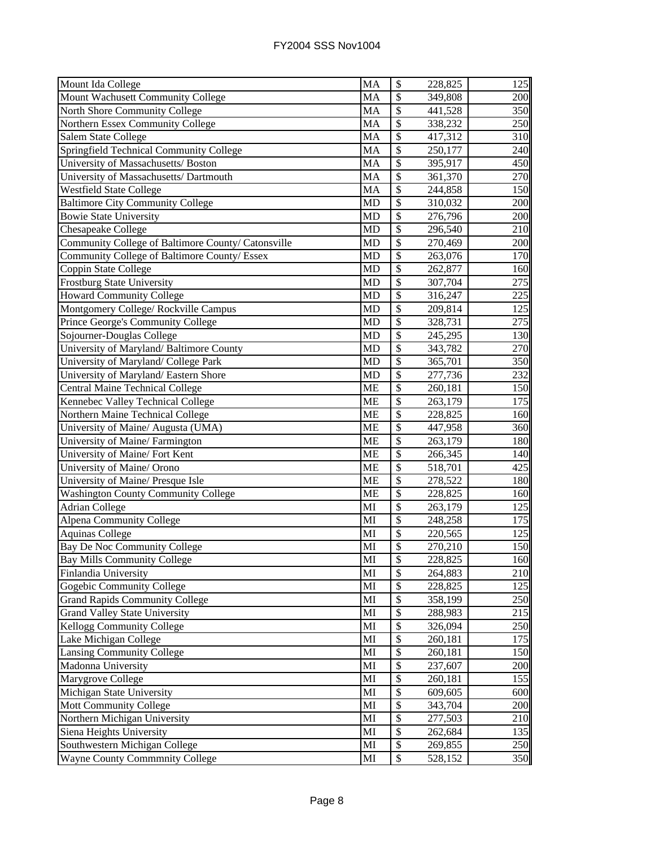| Mount Ida College                                  | MA        | $\boldsymbol{\mathsf{S}}$ | 228,825 | 125 |
|----------------------------------------------------|-----------|---------------------------|---------|-----|
| Mount Wachusett Community College                  | MA        | \$                        | 349,808 | 200 |
| North Shore Community College                      | MA        | \$                        | 441,528 | 350 |
| Northern Essex Community College                   | MA        | \$                        | 338,232 | 250 |
| Salem State College                                | MA        | \$                        | 417,312 | 310 |
| Springfield Technical Community College            | <b>MA</b> | \$                        | 250,177 | 240 |
| University of Massachusetts/ Boston                | MA        | \$                        | 395,917 | 450 |
| University of Massachusetts/ Dartmouth             | <b>MA</b> | \$                        | 361,370 | 270 |
| <b>Westfield State College</b>                     | MA        | \$                        | 244,858 | 150 |
| <b>Baltimore City Community College</b>            | <b>MD</b> | \$                        | 310,032 | 200 |
| <b>Bowie State University</b>                      | <b>MD</b> | \$                        | 276,796 | 200 |
| Chesapeake College                                 | <b>MD</b> | $\overline{\$}$           | 296,540 | 210 |
| Community College of Baltimore County/ Catonsville | <b>MD</b> | $\overline{\$}$           | 270,469 | 200 |
| Community College of Baltimore County/ Essex       | <b>MD</b> | $\overline{\$}$           | 263,076 | 170 |
| Coppin State College                               | <b>MD</b> | \$                        | 262,877 | 160 |
| <b>Frostburg State University</b>                  | <b>MD</b> | \$                        | 307,704 | 275 |
| <b>Howard Community College</b>                    | MD        | $\overline{\$}$           | 316,247 | 225 |
| Montgomery College/ Rockville Campus               | MD        | $\overline{\$}$           | 209,814 | 125 |
| Prince George's Community College                  | <b>MD</b> | \$                        | 328,731 | 275 |
| Sojourner-Douglas College                          | <b>MD</b> | \$                        | 245,295 | 130 |
| University of Maryland/Baltimore County            | <b>MD</b> | \$                        | 343,782 | 270 |
| University of Maryland/ College Park               | <b>MD</b> | \$                        | 365,701 | 350 |
| University of Maryland/Eastern Shore               | <b>MD</b> | \$                        | 277,736 | 232 |
| <b>Central Maine Technical College</b>             | <b>ME</b> | \$                        | 260,181 | 150 |
| Kennebec Valley Technical College                  | <b>ME</b> | $\overline{\$}$           | 263,179 | 175 |
| Northern Maine Technical College                   | <b>ME</b> | \$                        | 228,825 | 160 |
| University of Maine/ Augusta (UMA)                 | <b>ME</b> | \$                        | 447,958 | 360 |
| University of Maine/ Farmington                    | <b>ME</b> | \$                        | 263,179 | 180 |
| University of Maine/ Fort Kent                     | <b>ME</b> | $\overline{\$}$           | 266,345 | 140 |
| University of Maine/ Orono                         | <b>ME</b> | $\overline{\mathcal{S}}$  | 518,701 | 425 |
| University of Maine/ Presque Isle                  | <b>ME</b> | $\overline{\mathcal{S}}$  | 278,522 | 180 |
| <b>Washington County Community College</b>         | <b>ME</b> | $\overline{\mathcal{S}}$  | 228,825 | 160 |
| <b>Adrian College</b>                              | MI        | \$                        | 263,179 | 125 |
| <b>Alpena Community College</b>                    | MI        | $\overline{\$}$           | 248,258 | 175 |
| <b>Aquinas College</b>                             | MI        | $\overline{\$}$           | 220,565 | 125 |
| Bay De Noc Community College                       | MI        | \$                        | 270,210 | 150 |
| <b>Bay Mills Community College</b>                 | MI        | \$                        | 228,825 | 160 |
| Finlandia University                               | MI        | \$                        | 264,883 | 210 |
| Gogebic Community College                          | MI        | \$                        | 228,825 | 125 |
| <b>Grand Rapids Community College</b>              | MI        | \$                        | 358,199 | 250 |
| <b>Grand Valley State University</b>               | MI        | \$                        | 288,983 | 215 |
| <b>Kellogg Community College</b>                   | MI        | \$                        | 326,094 | 250 |
| Lake Michigan College                              | MI        | \$                        | 260,181 | 175 |
| <b>Lansing Community College</b>                   | MI        | \$                        | 260,181 | 150 |
| Madonna University                                 | MI        | \$                        | 237,607 | 200 |
| Marygrove College                                  | MI        | \$                        | 260,181 | 155 |
| Michigan State University                          | MI        | $\overline{\$}$           | 609,605 | 600 |
| <b>Mott Community College</b>                      | MI        | \$                        | 343,704 | 200 |
| Northern Michigan University                       | MI        | \$                        | 277,503 | 210 |
| Siena Heights University                           | MI        | \$                        | 262,684 | 135 |
| Southwestern Michigan College                      | MI        | \$                        | 269,855 | 250 |
| <b>Wayne County Commmnity College</b>              | MI        | \$                        | 528,152 | 350 |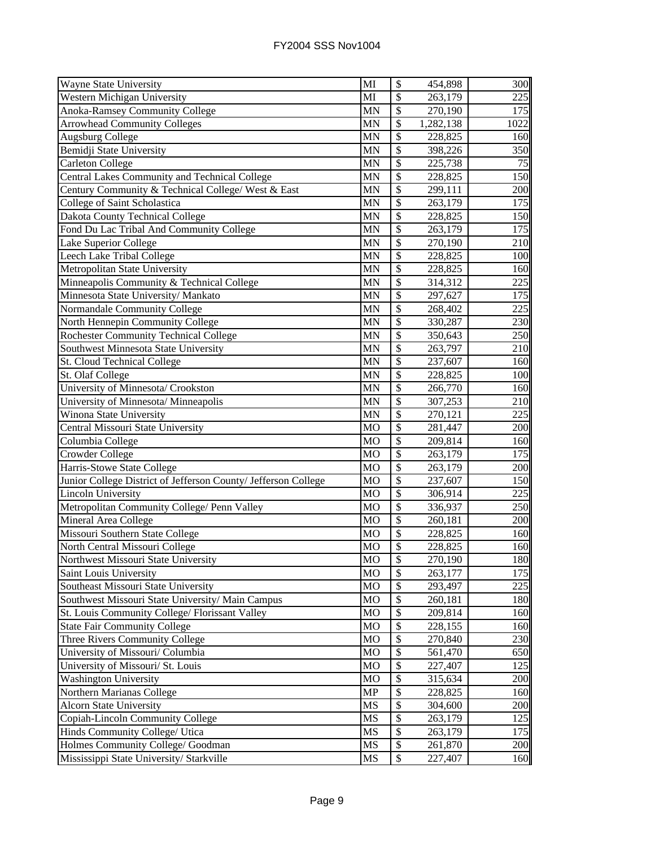| Wayne State University                                         | MI             | \$                       | 454,898   | 300  |
|----------------------------------------------------------------|----------------|--------------------------|-----------|------|
| <b>Western Michigan University</b>                             | MI             | \$                       | 263,179   | 225  |
| <b>Anoka-Ramsey Community College</b>                          | <b>MN</b>      | \$                       | 270,190   | 175  |
| <b>Arrowhead Community Colleges</b>                            | <b>MN</b>      | \$                       | 1,282,138 | 1022 |
| <b>Augsburg College</b>                                        | <b>MN</b>      | \$                       | 228,825   | 160  |
| Bemidji State University                                       | <b>MN</b>      | \$                       | 398,226   | 350  |
| <b>Carleton College</b>                                        | <b>MN</b>      | $\mathsf{\$}$            | 225,738   | 75   |
| Central Lakes Community and Technical College                  | <b>MN</b>      | $\mathbb{S}$             | 228,825   | 150  |
| Century Community & Technical College/ West & East             | <b>MN</b>      | $\overline{\$}$          | 299,111   | 200  |
| College of Saint Scholastica                                   | MN             | \$                       | 263,179   | 175  |
| Dakota County Technical College                                | <b>MN</b>      | \$                       | 228,825   | 150  |
| Fond Du Lac Tribal And Community College                       | <b>MN</b>      | \$                       | 263,179   | 175  |
| Lake Superior College                                          | <b>MN</b>      | $\overline{\$}$          | 270,190   | 210  |
| Leech Lake Tribal College                                      | <b>MN</b>      | $\overline{\mathcal{S}}$ | 228,825   | 100  |
| Metropolitan State University                                  | <b>MN</b>      | $\overline{\$}$          | 228,825   | 160  |
| Minneapolis Community & Technical College                      | <b>MN</b>      | \$                       | 314,312   | 225  |
| Minnesota State University/ Mankato                            | <b>MN</b>      | $\overline{\$}$          | 297,627   | 175  |
| Normandale Community College                                   | <b>MN</b>      | $\overline{\$}$          | 268,402   | 225  |
| North Hennepin Community College                               | <b>MN</b>      | \$                       | 330,287   | 230  |
| <b>Rochester Community Technical College</b>                   | <b>MN</b>      | \$                       | 350,643   | 250  |
| Southwest Minnesota State University                           | <b>MN</b>      | \$                       | 263,797   | 210  |
| St. Cloud Technical College                                    | <b>MN</b>      | \$                       | 237,607   | 160  |
| St. Olaf College                                               | <b>MN</b>      | \$                       | 228,825   | 100  |
| University of Minnesota/ Crookston                             | <b>MN</b>      | \$                       | 266,770   | 160  |
| University of Minnesota/ Minneapolis                           | <b>MN</b>      | $\overline{\mathcal{S}}$ | 307,253   | 210  |
| Winona State University                                        | MN             | \$                       | 270,121   | 225  |
| Central Missouri State University                              | <b>MO</b>      | \$                       | 281,447   | 200  |
| Columbia College                                               | <b>MO</b>      | $\overline{\$}$          | 209,814   | 160  |
| Crowder College                                                | M <sub>O</sub> | $\overline{\$}$          | 263,179   | 175  |
| Harris-Stowe State College                                     | <b>MO</b>      | $\overline{\$}$          | 263,179   | 200  |
| Junior College District of Jefferson County/ Jefferson College | <b>MO</b>      | $\overline{\$}$          | 237,607   | 150  |
| <b>Lincoln University</b>                                      | M <sub>O</sub> | $\overline{\mathcal{S}}$ | 306,914   | 225  |
| Metropolitan Community College/ Penn Valley                    | <b>MO</b>      | $\overline{\mathcal{S}}$ | 336,937   | 250  |
| Mineral Area College                                           | MO             | $\overline{\$}$          | 260,181   | 200  |
| Missouri Southern State College                                | MO             | $\overline{\$}$          | 228,825   | 160  |
| North Central Missouri College                                 | MO             | \$                       | 228,825   | 160  |
| Northwest Missouri State University                            | MO             | \$                       | 270,190   | 180  |
| Saint Louis University                                         | <b>MO</b>      | $\mathcal{S}$            | 263,177   | 175  |
| Southeast Missouri State University                            | MO             | \$                       | 293,497   | 225  |
| Southwest Missouri State University/ Main Campus               | <b>MO</b>      | \$                       | 260,181   | 180  |
| St. Louis Community College/ Florissant Valley                 | <b>MO</b>      | \$                       | 209,814   | 160  |
| <b>State Fair Community College</b>                            | <b>MO</b>      | \$                       | 228,155   | 160  |
| Three Rivers Community College                                 | MO             | \$                       | 270,840   | 230  |
| University of Missouri/ Columbia                               | MO             | \$                       | 561,470   | 650  |
| University of Missouri/ St. Louis                              | MO             | \$                       | 227,407   | 125  |
| <b>Washington University</b>                                   | <b>MO</b>      | \$                       | 315,634   | 200  |
| Northern Marianas College                                      | <b>MP</b>      | \$                       | 228,825   | 160  |
| <b>Alcorn State University</b>                                 | <b>MS</b>      | \$                       | 304,600   | 200  |
| Copiah-Lincoln Community College                               | <b>MS</b>      | \$                       | 263,179   | 125  |
| Hinds Community College/ Utica                                 | <b>MS</b>      | \$                       | 263,179   | 175  |
| Holmes Community College/ Goodman                              | MS             | $\$$                     | 261,870   | 200  |
| Mississippi State University/ Starkville                       | MS             | \$                       | 227,407   | 160  |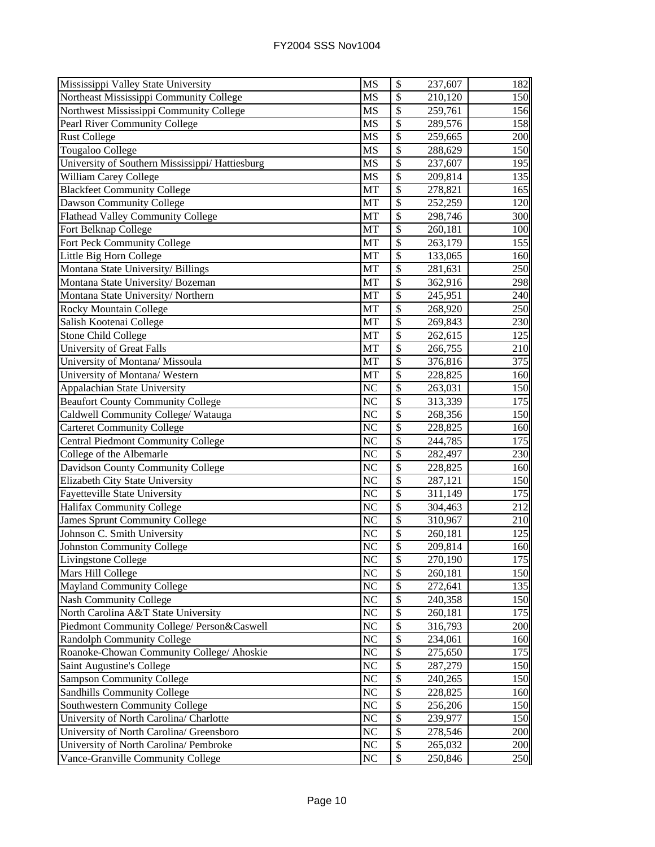| Mississippi Valley State University             | MS                     | \$                       | 237,607 | 182 |
|-------------------------------------------------|------------------------|--------------------------|---------|-----|
| Northeast Mississippi Community College         | MS                     | \$                       | 210,120 | 150 |
| Northwest Mississippi Community College         | MS                     | \$                       | 259,761 | 156 |
| Pearl River Community College                   | MS                     | \$                       | 289,576 | 158 |
| <b>Rust College</b>                             | <b>MS</b>              | \$                       | 259,665 | 200 |
| Tougaloo College                                | <b>MS</b>              | \$                       | 288,629 | 150 |
| University of Southern Mississippi/ Hattiesburg | $\overline{\text{MS}}$ | $\overline{\mathcal{S}}$ | 237,607 | 195 |
| William Carey College                           | <b>MS</b>              | \$                       | 209,814 | 135 |
| <b>Blackfeet Community College</b>              | MT                     | \$                       | 278,821 | 165 |
| Dawson Community College                        | MT                     | \$                       | 252,259 | 120 |
| Flathead Valley Community College               | MT                     | $\overline{\$}$          | 298,746 | 300 |
| Fort Belknap College                            | MT                     | \$                       | 260,181 | 100 |
| Fort Peck Community College                     | MT                     | $\overline{\$}$          | 263,179 | 155 |
| Little Big Horn College                         | MT                     | \$                       | 133,065 | 160 |
| Montana State University/ Billings              | MT                     | \$                       | 281,631 | 250 |
| Montana State University/Bozeman                | MT                     | \$                       | 362,916 | 298 |
| Montana State University/Northern               | MT                     | $\overline{\$}$          | 245,951 | 240 |
| Rocky Mountain College                          | MT                     | \$                       | 268,920 | 250 |
| Salish Kootenai College                         | MT                     | \$                       | 269,843 | 230 |
| Stone Child College                             | MT                     | \$                       | 262,615 | 125 |
| <b>University of Great Falls</b>                | MT                     | \$                       | 266,755 | 210 |
| University of Montana/ Missoula                 | MT                     | \$                       | 376,816 | 375 |
| University of Montana/ Western                  | MT                     | \$                       | 228,825 | 160 |
| Appalachian State University                    | N <sub>C</sub>         | $\overline{\$}$          | 263,031 | 150 |
| <b>Beaufort County Community College</b>        | N <sub>C</sub>         | $\overline{\$}$          | 313,339 | 175 |
| Caldwell Community College/ Watauga             | NC                     | \$                       | 268,356 | 150 |
| <b>Carteret Community College</b>               | $\overline{\text{NC}}$ | $\overline{\$}$          | 228,825 | 160 |
| <b>Central Piedmont Community College</b>       | NC                     | $\overline{\$}$          | 244,785 | 175 |
| College of the Albemarle                        | $\overline{\rm NC}$    | $\overline{\$}$          | 282,497 | 230 |
| Davidson County Community College               | $\overline{\text{NC}}$ | $\overline{\mathcal{S}}$ | 228,825 | 160 |
| Elizabeth City State University                 | $\overline{\rm NC}$    | $\overline{\mathcal{S}}$ | 287,121 | 150 |
| Fayetteville State University                   | $\overline{\text{NC}}$ | $\overline{\$}$          | 311,149 | 175 |
| <b>Halifax Community College</b>                | NC                     | $\overline{\$}$          | 304,463 | 212 |
| <b>James Sprunt Community College</b>           | NC                     | $\overline{\$}$          | 310,967 | 210 |
| Johnson C. Smith University                     | NC                     | \$                       | 260,181 | 125 |
| <b>Johnston Community College</b>               | NC                     | \$                       | 209,814 | 160 |
| Livingstone College                             | NC                     | \$                       | 270,190 | 175 |
| Mars Hill College                               | NC                     | \$                       | 260,181 | 150 |
| Mayland Community College                       | N <sub>C</sub>         | \$                       | 272,641 | 135 |
| <b>Nash Community College</b>                   | N <sub>C</sub>         | $\mathcal{S}$            | 240,358 | 150 |
| North Carolina A&T State University             | N <sub>C</sub>         | \$                       | 260,181 | 175 |
| Piedmont Community College/ Person&Caswell      | N <sub>C</sub>         | \$                       | 316,793 | 200 |
| <b>Randolph Community College</b>               | NC                     | \$                       | 234,061 | 160 |
| Roanoke-Chowan Community College/ Ahoskie       | NC                     | \$                       | 275,650 | 175 |
| Saint Augustine's College                       | NC                     | \$                       | 287,279 | 150 |
| <b>Sampson Community College</b>                | NC                     | \$                       | 240,265 | 150 |
| Sandhills Community College                     | NC                     | \$                       | 228,825 | 160 |
| Southwestern Community College                  | $\overline{\text{NC}}$ | \$                       | 256,206 | 150 |
| University of North Carolina/ Charlotte         | NC                     | \$                       | 239,977 | 150 |
| University of North Carolina/ Greensboro        | NC                     | \$                       | 278,546 | 200 |
| University of North Carolina/ Pembroke          | NC                     | \$                       | 265,032 | 200 |
| Vance-Granville Community College               | NC                     | \$                       | 250,846 | 250 |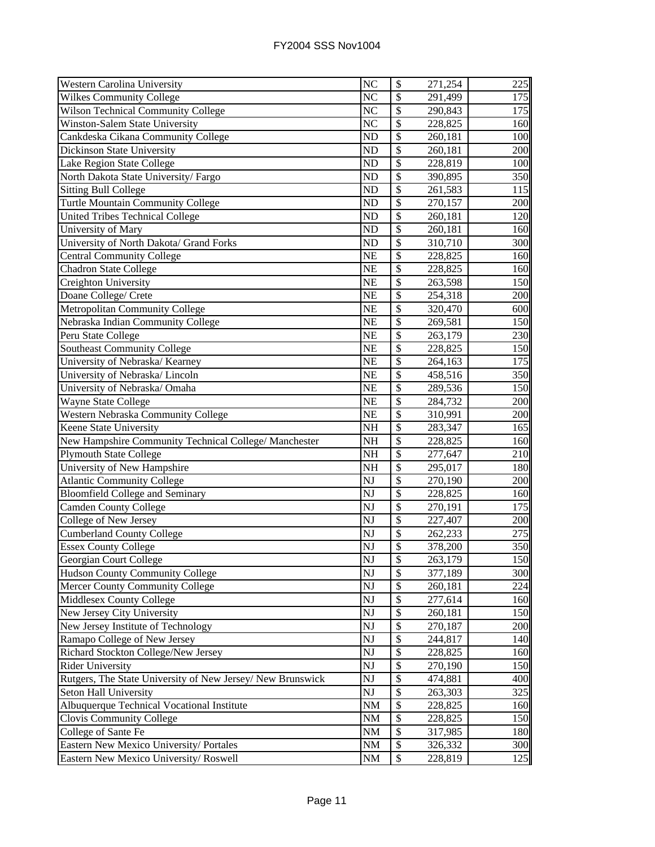| Western Carolina University                                                                                                                                                                                                                                                                                                                                                                                       | NC                     | \$                       | 271,254            | 225        |
|-------------------------------------------------------------------------------------------------------------------------------------------------------------------------------------------------------------------------------------------------------------------------------------------------------------------------------------------------------------------------------------------------------------------|------------------------|--------------------------|--------------------|------------|
| <b>Wilkes Community College</b>                                                                                                                                                                                                                                                                                                                                                                                   | NC                     | $\overline{\$}$          | 291,499            | 175        |
| Wilson Technical Community College                                                                                                                                                                                                                                                                                                                                                                                | NC                     | \$                       | 290,843            | 175        |
| Winston-Salem State University                                                                                                                                                                                                                                                                                                                                                                                    | $\overline{\text{NC}}$ | $\overline{\mathcal{S}}$ | 228,825            | 160        |
| Cankdeska Cikana Community College                                                                                                                                                                                                                                                                                                                                                                                | ND                     | \$                       | 260,181            | 100        |
| <b>Dickinson State University</b>                                                                                                                                                                                                                                                                                                                                                                                 | ND                     | \$                       | 260,181            | 200        |
| Lake Region State College                                                                                                                                                                                                                                                                                                                                                                                         | N <sub>D</sub>         | \$                       | 228,819            | 100        |
| North Dakota State University/Fargo                                                                                                                                                                                                                                                                                                                                                                               | ND                     | \$                       | 390,895            | 350        |
| <b>Sitting Bull College</b>                                                                                                                                                                                                                                                                                                                                                                                       | N <sub>D</sub>         | $\mathcal{S}$            | 261,583            | 115        |
| Turtle Mountain Community College                                                                                                                                                                                                                                                                                                                                                                                 | N <sub>D</sub>         | \$                       | 270,157            | 200        |
| <b>United Tribes Technical College</b>                                                                                                                                                                                                                                                                                                                                                                            | N <sub>D</sub>         | \$                       | 260,181            | 120        |
| University of Mary                                                                                                                                                                                                                                                                                                                                                                                                | ND                     | \$                       | 260,181            | 160        |
| University of North Dakota/ Grand Forks                                                                                                                                                                                                                                                                                                                                                                           | ND                     | $\overline{\mathcal{S}}$ | 310,710            | 300        |
| Central Community College                                                                                                                                                                                                                                                                                                                                                                                         | <b>NE</b>              | $\overline{\mathcal{S}}$ | 228,825            | 160        |
| <b>Chadron State College</b>                                                                                                                                                                                                                                                                                                                                                                                      | <b>NE</b>              | $\overline{\mathcal{S}}$ | 228,825            | 160        |
| Creighton University                                                                                                                                                                                                                                                                                                                                                                                              | <b>NE</b>              | \$                       | 263,598            | 150        |
| Doane College/ Crete                                                                                                                                                                                                                                                                                                                                                                                              | <b>NE</b>              | \$                       | 254,318            | 200        |
| Metropolitan Community College                                                                                                                                                                                                                                                                                                                                                                                    | <b>NE</b>              | \$                       | 320,470            | 600        |
| Nebraska Indian Community College                                                                                                                                                                                                                                                                                                                                                                                 | <b>NE</b>              | $\overline{\$}$          | 269,581            | 150        |
| Peru State College                                                                                                                                                                                                                                                                                                                                                                                                | NE                     | \$                       | 263,179            | 230        |
| Southeast Community College                                                                                                                                                                                                                                                                                                                                                                                       | <b>NE</b>              | \$                       | 228,825            | 150        |
| University of Nebraska/ Kearney                                                                                                                                                                                                                                                                                                                                                                                   | <b>NE</b>              | \$                       | 264,163            | 175        |
| University of Nebraska/Lincoln                                                                                                                                                                                                                                                                                                                                                                                    | NE                     | \$                       | 458,516            | 350        |
| University of Nebraska/ Omaha                                                                                                                                                                                                                                                                                                                                                                                     | NE                     | \$                       | 289,536            | 150        |
| Wayne State College                                                                                                                                                                                                                                                                                                                                                                                               | <b>NE</b>              | \$                       | 284,732            | 200        |
| Western Nebraska Community College                                                                                                                                                                                                                                                                                                                                                                                | <b>NE</b>              | $\overline{\$}$          | 310,991            | 200        |
| Keene State University                                                                                                                                                                                                                                                                                                                                                                                            | <b>NH</b>              | \$                       | 283,347            | 165        |
|                                                                                                                                                                                                                                                                                                                                                                                                                   |                        |                          |                    |            |
|                                                                                                                                                                                                                                                                                                                                                                                                                   | <b>NH</b>              | \$                       | 228,825            | 160        |
|                                                                                                                                                                                                                                                                                                                                                                                                                   | $\overline{\text{NH}}$ | $\overline{\mathcal{S}}$ | 277,647            | 210        |
|                                                                                                                                                                                                                                                                                                                                                                                                                   | NH                     | $\overline{\mathcal{S}}$ | 295,017            | 180        |
| <b>Atlantic Community College</b>                                                                                                                                                                                                                                                                                                                                                                                 | $\overline{\text{NJ}}$ | $\overline{\$}$          | 270,190            | 200        |
|                                                                                                                                                                                                                                                                                                                                                                                                                   | NJ                     | $\overline{\mathcal{S}}$ | 228,825            | 160        |
| <b>Camden County College</b>                                                                                                                                                                                                                                                                                                                                                                                      | NJ                     | $\overline{\$}$          | 270,191            | 175        |
| College of New Jersey                                                                                                                                                                                                                                                                                                                                                                                             | NJ                     | \$                       | 227,407            | 200        |
| <b>Cumberland County College</b>                                                                                                                                                                                                                                                                                                                                                                                  | $\overline{\text{NJ}}$ | \$                       | 262,233            | 275        |
| <b>Essex County College</b>                                                                                                                                                                                                                                                                                                                                                                                       | NJ                     | $\overline{\$}$          | 378,200            | 350        |
|                                                                                                                                                                                                                                                                                                                                                                                                                   | NJ                     | P                        | 263,179            | 150        |
|                                                                                                                                                                                                                                                                                                                                                                                                                   | NJ                     | \$                       | 377,189            | 300        |
|                                                                                                                                                                                                                                                                                                                                                                                                                   | NJ                     | \$                       | 260,181            | 224        |
|                                                                                                                                                                                                                                                                                                                                                                                                                   | NJ                     | \$                       | 277,614            | 160        |
|                                                                                                                                                                                                                                                                                                                                                                                                                   | NJ                     | \$                       | 260,181            | 150        |
|                                                                                                                                                                                                                                                                                                                                                                                                                   | NJ                     | \$                       | 270,187            | 200        |
| Ramapo College of New Jersey                                                                                                                                                                                                                                                                                                                                                                                      | NJ                     | \$                       | 244,817            | 140        |
| Richard Stockton College/New Jersey                                                                                                                                                                                                                                                                                                                                                                               | NJ                     | \$                       | 228,825            | 160        |
|                                                                                                                                                                                                                                                                                                                                                                                                                   | NJ                     | \$                       | 270,190            | 150        |
| Rutgers, The State University of New Jersey/ New Brunswick                                                                                                                                                                                                                                                                                                                                                        | NJ                     | \$                       | 474,881            | 400        |
| Seton Hall University                                                                                                                                                                                                                                                                                                                                                                                             | NJ                     | \$                       | 263,303            | 325        |
| Albuquerque Technical Vocational Institute                                                                                                                                                                                                                                                                                                                                                                        | NM                     | $\overline{\$}$          | 228,825            | 160        |
| Clovis Community College                                                                                                                                                                                                                                                                                                                                                                                          | <b>NM</b>              | \$                       | 228,825            | 150        |
| New Hampshire Community Technical College/ Manchester<br><b>Plymouth State College</b><br>University of New Hampshire<br><b>Bloomfield College and Seminary</b><br>Georgian Court College<br>Hudson County Community College<br>Mercer County Community College<br>Middlesex County College<br>New Jersey City University<br>New Jersey Institute of Technology<br><b>Rider University</b><br>College of Sante Fe | NM                     | \$                       | 317,985            | 180        |
| Eastern New Mexico University/ Portales<br>Eastern New Mexico University/Roswell                                                                                                                                                                                                                                                                                                                                  | NM<br>NM               | \$<br>\$                 | 326,332<br>228,819 | 300<br>125 |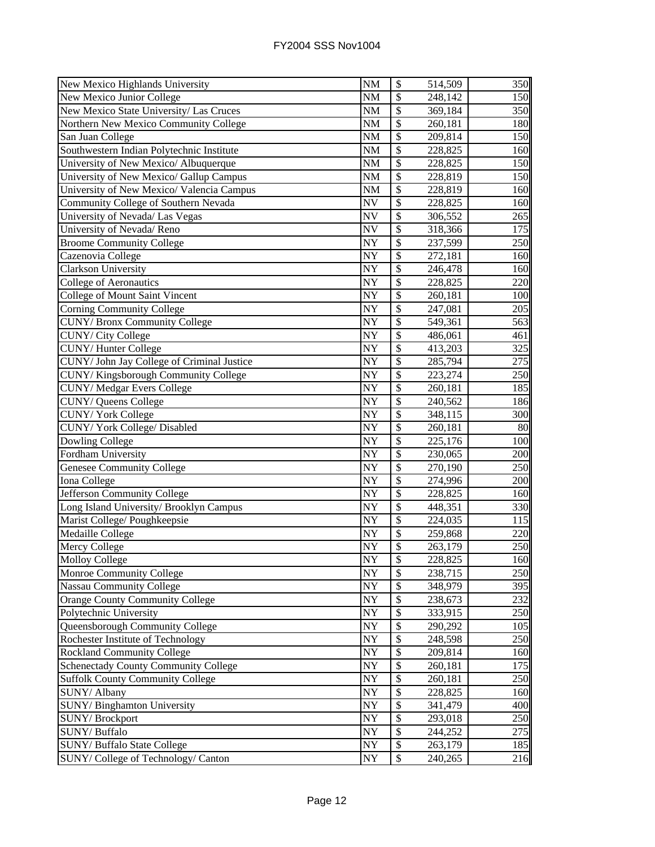| New Mexico Highlands University             | <b>NM</b>              | $\boldsymbol{\mathsf{S}}$ | 514,509 | 350 |
|---------------------------------------------|------------------------|---------------------------|---------|-----|
| New Mexico Junior College                   | <b>NM</b>              | \$                        | 248,142 | 150 |
| New Mexico State University/ Las Cruces     | <b>NM</b>              | \$                        | 369,184 | 350 |
| Northern New Mexico Community College       | <b>NM</b>              | $\overline{\mathcal{S}}$  | 260,181 | 180 |
| San Juan College                            | <b>NM</b>              | \$                        | 209,814 | 150 |
| Southwestern Indian Polytechnic Institute   | <b>NM</b>              | \$                        | 228,825 | 160 |
| University of New Mexico/ Albuquerque       | <b>NM</b>              | $\mathcal{S}$             | 228,825 | 150 |
| University of New Mexico/ Gallup Campus     | <b>NM</b>              | \$                        | 228,819 | 150 |
| University of New Mexico/ Valencia Campus   | <b>NM</b>              | $\overline{\$}$           | 228,819 | 160 |
| Community College of Southern Nevada        | <b>NV</b>              | \$                        | 228,825 | 160 |
| University of Nevada/ Las Vegas             | <b>NV</b>              | \$                        | 306,552 | 265 |
| University of Nevada/Reno                   | <b>NV</b>              | $\overline{\$}$           | 318,366 | 175 |
| <b>Broome Community College</b>             | NY                     | $\overline{\$}$           | 237,599 | 250 |
| Cazenovia College                           | NY                     | $\overline{\$}$           | 272,181 | 160 |
| Clarkson University                         | NY                     | $\overline{\$}$           | 246,478 | 160 |
| <b>College of Aeronautics</b>               | <b>NY</b>              | \$                        | 228,825 | 220 |
| College of Mount Saint Vincent              | NY                     | $\overline{\$}$           | 260,181 | 100 |
| <b>Corning Community College</b>            | NY                     | $\overline{\$}$           | 247,081 | 205 |
| <b>CUNY/Bronx Community College</b>         | NY                     | \$                        | 549,361 | 563 |
| CUNY/ City College                          | NY                     | \$                        | 486,061 | 461 |
| <b>CUNY/Hunter College</b>                  | NY                     | \$                        | 413,203 | 325 |
| CUNY/ John Jay College of Criminal Justice  | NY                     | \$                        | 285,794 | 275 |
| CUNY/Kingsborough Community College         | <b>NY</b>              | \$                        | 223,274 | 250 |
| CUNY/Medgar Evers College                   | <b>NY</b>              | \$                        | 260,181 | 185 |
| CUNY/ Queens College                        | NY                     | $\overline{\$}$           | 240,562 | 186 |
| <b>CUNY/York College</b>                    | NY                     | $\overline{\$}$           | 348,115 | 300 |
| CUNY/York College/Disabled                  | NY                     | \$                        | 260,181 | 80  |
| Dowling College                             | <b>NY</b>              | $\overline{\$}$           | 225,176 | 100 |
| Fordham University                          | NY                     | $\overline{\$}$           | 230,065 | 200 |
| Genesee Community College                   | $\overline{NY}$        | $\overline{\$}$           | 270,190 | 250 |
| Iona College                                | NY                     | $\overline{\mathcal{S}}$  | 274,996 | 200 |
| Jefferson Community College                 | $\overline{\text{NY}}$ | $\overline{\mathcal{S}}$  | 228,825 | 160 |
| Long Island University/ Brooklyn Campus     | <b>NY</b>              | $\overline{\$}$           | 448,351 | 330 |
| Marist College/ Poughkeepsie                | NY                     | $\overline{\$}$           | 224,035 | 115 |
| Medaille College                            | NY                     | $\overline{\$}$           | 259,868 | 220 |
| Mercy College                               | NY                     | \$                        | 263,179 | 250 |
| <b>Molloy College</b>                       | NY                     | \$                        | 228,825 | 160 |
| Monroe Community College                    | NY                     | $\mathcal{S}$             | 238,715 | 250 |
| <b>Nassau Community College</b>             | NY                     | \$                        | 348,979 | 395 |
| <b>Orange County Community College</b>      | <b>NY</b>              | \$                        | 238,673 | 232 |
| Polytechnic University                      | <b>NY</b>              | \$                        | 333,915 | 250 |
| Queensborough Community College             | <b>NY</b>              | $\mathcal{S}$             | 290,292 | 105 |
| Rochester Institute of Technology           | <b>NY</b>              | \$                        | 248,598 | 250 |
| <b>Rockland Community College</b>           | NY                     | \$                        | 209,814 | 160 |
| <b>Schenectady County Community College</b> | NY                     | \$                        | 260,181 | 175 |
| <b>Suffolk County Community College</b>     | <b>NY</b>              | \$                        | 260,181 | 250 |
| SUNY/ Albany                                | <b>NY</b>              | $\overline{\mathcal{S}}$  | 228,825 | 160 |
| SUNY/Binghamton University                  | <b>NY</b>              | $\mathcal{S}$             | 341,479 | 400 |
| <b>SUNY/Brockport</b>                       | <b>NY</b>              | \$                        | 293,018 | 250 |
| SUNY/Buffalo                                | NY                     | \$                        | 244,252 | 275 |
| <b>SUNY/ Buffalo State College</b>          | <b>NY</b>              | \$                        | 263,179 | 185 |
| SUNY/College of Technology/Canton           | NY                     | \$                        | 240,265 | 216 |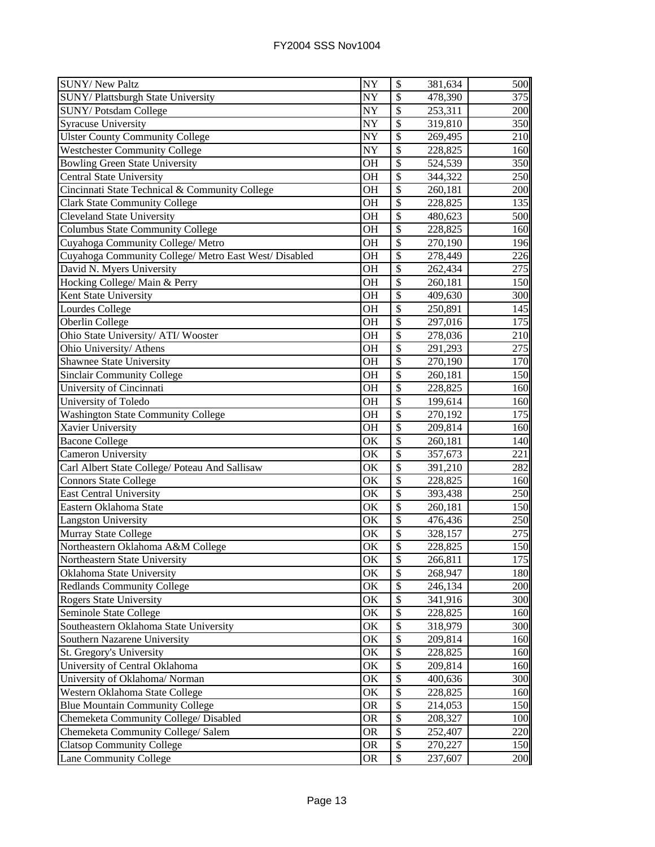| <b>SUNY/ New Paltz</b>                                | NY                     | \$                       | 381,634 | 500        |
|-------------------------------------------------------|------------------------|--------------------------|---------|------------|
| SUNY/Plattsburgh State University                     | NY                     | \$                       | 478,390 | 375        |
| SUNY/Potsdam College                                  | NY                     | \$                       | 253,311 | 200        |
| Syracuse University                                   | NY                     | \$                       | 319,810 | 350        |
| <b>Ulster County Community College</b>                | NY                     | \$                       | 269,495 | 210        |
| <b>Westchester Community College</b>                  | NY                     | \$                       | 228,825 | 160        |
| <b>Bowling Green State University</b>                 | OH                     | \$                       | 524,539 | 350        |
| Central State University                              | <b>OH</b>              | $\mathcal{S}$            | 344,322 | 250        |
| Cincinnati State Technical & Community College        | <b>OH</b>              | \$                       | 260,181 | 200        |
| <b>Clark State Community College</b>                  | <b>OH</b>              | \$                       | 228,825 | 135        |
| <b>Cleveland State University</b>                     | <b>OH</b>              | \$                       | 480,623 | 500        |
| Columbus State Community College                      | <b>OH</b>              | \$                       | 228,825 | 160        |
| Cuyahoga Community College/ Metro                     | <b>OH</b>              | \$                       | 270,190 | 196        |
| Cuyahoga Community College/ Metro East West/ Disabled | <b>OH</b>              | \$                       | 278,449 | 226        |
| David N. Myers University                             | <b>OH</b>              | \$                       | 262,434 | 275        |
| Hocking College/ Main & Perry                         | <b>OH</b>              | \$                       | 260,181 | 150        |
| Kent State University                                 | <b>OH</b>              | \$                       | 409,630 | 300        |
| Lourdes College                                       | <b>OH</b>              | $\overline{\$}$          | 250,891 | 145        |
| Oberlin College                                       | <b>OH</b>              | \$                       | 297,016 | 175        |
| Ohio State University/ ATI/ Wooster                   | <b>OH</b>              | \$                       | 278,036 | 210        |
| Ohio University/ Athens                               | <b>OH</b>              | \$                       | 291,293 | 275        |
| Shawnee State University                              | OH                     | \$                       | 270,190 | 170        |
| <b>Sinclair Community College</b>                     | <b>OH</b>              | \$                       | 260,181 | 150        |
| University of Cincinnati                              | <b>OH</b>              | $\mathcal{S}$            | 228,825 | 160        |
| University of Toledo                                  | <b>OH</b>              | $\overline{\$}$          | 199,614 | 160        |
| <b>Washington State Community College</b>             | <b>OH</b>              | \$                       | 270,192 | 175        |
| Xavier University                                     | <b>OH</b>              | \$                       | 209,814 | 160        |
| <b>Bacone College</b>                                 | <b>OK</b>              | $\overline{\$}$          | 260,181 | 140        |
| Cameron University                                    | $\overline{\text{OK}}$ | \$                       | 357,673 | 221        |
| Carl Albert State College/ Poteau And Sallisaw        | $\overline{\rm OK}$    | $\overline{\mathcal{S}}$ | 391,210 | 282        |
| <b>Connors State College</b>                          | $\overline{\text{OK}}$ | $\overline{\mathcal{S}}$ | 228,825 | 160        |
| <b>East Central University</b>                        | $\overline{\text{OK}}$ | $\overline{\mathcal{S}}$ | 393,438 | 250        |
| Eastern Oklahoma State                                | OK                     | \$                       | 260,181 | 150        |
| <b>Langston University</b>                            | OK                     | \$                       | 476,436 | 250        |
| Murray State College                                  | OK                     | $\overline{\$}$          | 328,157 | 275        |
| Northeastern Oklahoma A&M College                     | OK                     | \$                       | 228,825 | 150        |
| Northeastern State University                         | $\overline{\text{OK}}$ | \$                       | 266,811 | 175        |
| Oklahoma State University                             | OK                     | \$                       | 268,947 | <b>180</b> |
| <b>Redlands Community College</b>                     | OK                     | \$                       | 246,134 | 200        |
| <b>Rogers State University</b>                        | OK                     | \$                       | 341,916 | 300        |
| Seminole State College                                | OK                     | \$                       | 228,825 | 160        |
| Southeastern Oklahoma State University                | OK                     | \$                       | 318,979 | 300        |
| Southern Nazarene University                          | OK                     | \$                       | 209,814 | 160        |
| St. Gregory's University                              | OK                     | \$                       | 228,825 | 160        |
| University of Central Oklahoma                        | OK                     | \$                       | 209,814 | 160        |
| University of Oklahoma/ Norman                        | OK                     | \$                       | 400,636 | 300        |
| Western Oklahoma State College                        | OK                     | \$                       | 228,825 | 160        |
| <b>Blue Mountain Community College</b>                | <b>OR</b>              | \$                       | 214,053 | 150        |
| Chemeketa Community College/ Disabled                 | <b>OR</b>              | \$                       | 208,327 | 100        |
| Chemeketa Community College/ Salem                    |                        | \$                       |         | 220        |
|                                                       | <b>OR</b>              |                          | 252,407 |            |
| <b>Clatsop Community College</b>                      | OR                     | \$                       | 270,227 | 150        |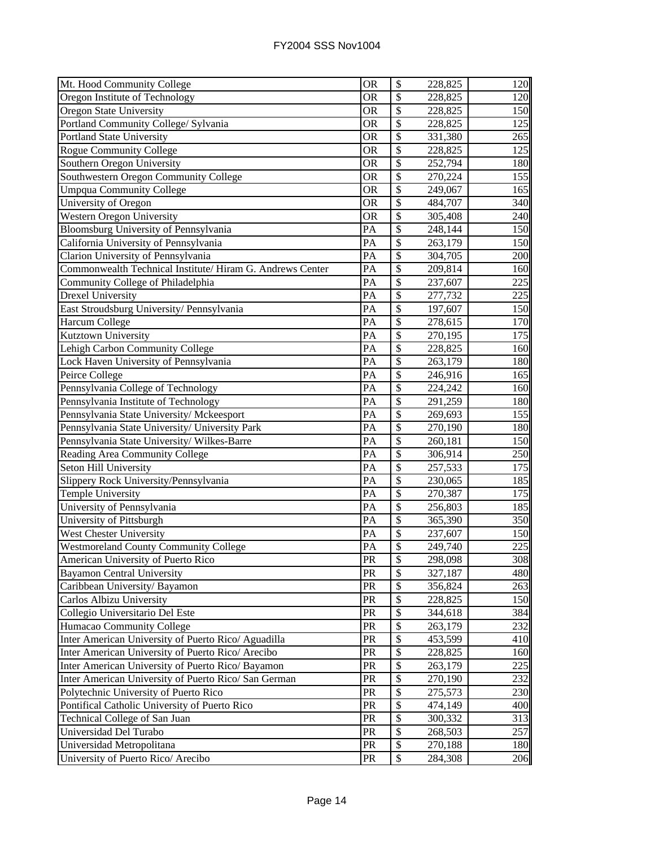| Mt. Hood Community College                               | <b>OR</b>       | \$                       | 228,825 | 120 |
|----------------------------------------------------------|-----------------|--------------------------|---------|-----|
| Oregon Institute of Technology                           | <b>OR</b>       | \$                       | 228,825 | 120 |
| Oregon State University                                  | <b>OR</b>       | \$                       | 228,825 | 150 |
| Portland Community College/ Sylvania                     | <b>OR</b>       | $\overline{\$}$          | 228,825 | 125 |
| Portland State University                                | <b>OR</b>       | \$                       | 331,380 | 265 |
| <b>Rogue Community College</b>                           | <b>OR</b>       | \$                       | 228,825 | 125 |
| Southern Oregon University                               | <b>OR</b>       | \$                       | 252,794 | 180 |
| Southwestern Oregon Community College                    | <b>OR</b>       | \$                       | 270,224 | 155 |
| <b>Umpqua Community College</b>                          | <b>OR</b>       | $\mathcal{S}$            | 249,067 | 165 |
| University of Oregon                                     | <b>OR</b>       | \$                       | 484,707 | 340 |
| Western Oregon University                                | <b>OR</b>       | \$                       | 305,408 | 240 |
| Bloomsburg University of Pennsylvania                    | PA              | \$                       | 248,144 | 150 |
| California University of Pennsylvania                    | PA              | \$                       | 263,179 | 150 |
| Clarion University of Pennsylvania                       | PA              | \$                       | 304,705 | 200 |
| Commonwealth Technical Institute/Hiram G. Andrews Center | PA              | \$                       | 209,814 | 160 |
| Community College of Philadelphia                        | PA              | \$                       | 237,607 | 225 |
| <b>Drexel University</b>                                 | PA              | \$                       | 277,732 | 225 |
| East Stroudsburg University/ Pennsylvania                | PA              | \$                       | 197,607 | 150 |
| Harcum College                                           | PA              | $\overline{\$}$          | 278,615 | 170 |
| Kutztown University                                      | PA              | \$                       | 270,195 | 175 |
| Lehigh Carbon Community College                          | PA              | \$                       | 228,825 | 160 |
| Lock Haven University of Pennsylvania                    | PA              | \$                       | 263,179 | 180 |
| Peirce College                                           | PA              | \$                       | 246,916 | 165 |
| Pennsylvania College of Technology                       | PA              | \$                       | 224,242 | 160 |
| Pennsylvania Institute of Technology                     | PA              | \$                       | 291,259 | 180 |
| Pennsylvania State University/ Mckeesport                | PA              | \$                       | 269,693 | 155 |
| Pennsylvania State University/ University Park           | PA              | \$                       | 270,190 | 180 |
| Pennsylvania State University/Wilkes-Barre               | PA              | \$                       | 260,181 | 150 |
| Reading Area Community College                           | $\overline{PA}$ | $\overline{\mathcal{S}}$ | 306,914 | 250 |
| Seton Hill University                                    | PA              | \$                       | 257,533 | 175 |
| Slippery Rock University/Pennsylvania                    | $\overline{PA}$ | \$                       | 230,065 | 185 |
| <b>Temple University</b>                                 | PA              | $\overline{\$}$          | 270,387 | 175 |
| University of Pennsylvania                               | PA              | \$                       | 256,803 | 185 |
| University of Pittsburgh                                 | PA              | \$                       | 365,390 | 350 |
| <b>West Chester University</b>                           | PA              | \$                       | 237,607 | 150 |
| <b>Westmoreland County Community College</b>             | PA              | \$                       | 249,740 | 225 |
| American University of Puerto Rico                       | PR              | P                        | 298,098 | 308 |
| <b>Bayamon Central University</b>                        | PR              | \$                       | 327,187 | 480 |
| Caribbean University/ Bayamon                            | PR              | \$                       | 356,824 | 263 |
| Carlos Albizu University                                 | PR              | \$                       | 228,825 | 150 |
| Collegio Universitario Del Este                          | PR              | \$                       | 344,618 | 384 |
| Humacao Community College                                | PR              | \$                       | 263,179 | 232 |
| Inter American University of Puerto Rico/ Aguadilla      | PR              | \$                       | 453,599 | 410 |
| Inter American University of Puerto Rico/ Arecibo        | PR              | \$                       | 228,825 | 160 |
| Inter American University of Puerto Rico/ Bayamon        | PR              | \$                       | 263,179 | 225 |
| Inter American University of Puerto Rico/ San German     | <b>PR</b>       | \$                       | 270,190 | 232 |
| Polytechnic University of Puerto Rico                    | PR              | \$                       | 275,573 | 230 |
| Pontifical Catholic University of Puerto Rico            | PR              | \$                       | 474,149 | 400 |
| Technical College of San Juan                            | PR              | \$                       | 300,332 | 313 |
| Universidad Del Turabo                                   | PR              | \$                       | 268,503 | 257 |
| Universidad Metropolitana                                | PR              | \$                       | 270,188 | 180 |
| University of Puerto Rico/ Arecibo                       | PR              | $\$$                     | 284,308 | 206 |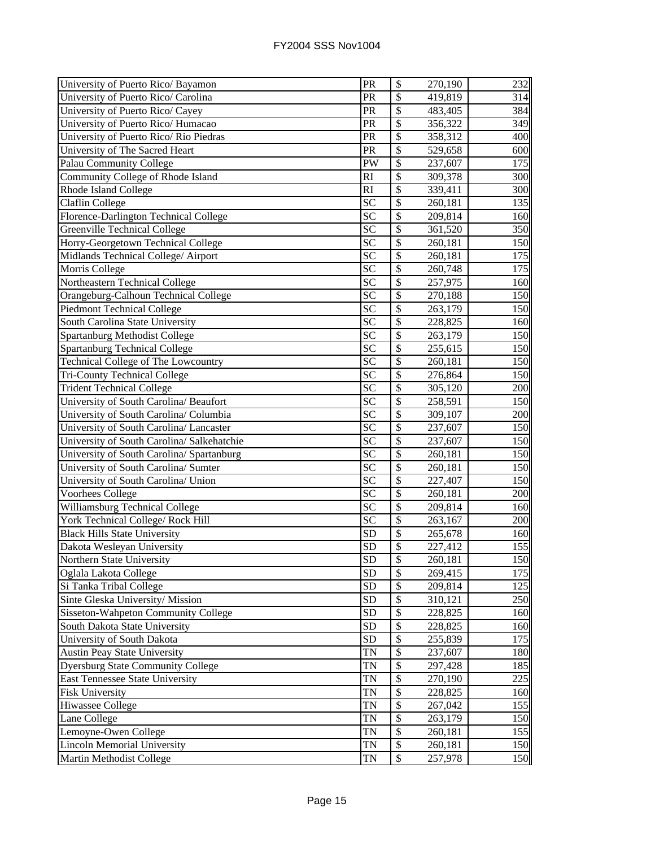| University of Puerto Rico/ Bayamon         | PR              | \$                       | 270,190 | 232 |
|--------------------------------------------|-----------------|--------------------------|---------|-----|
| University of Puerto Rico/ Carolina        | PR              | \$                       | 419,819 | 314 |
| University of Puerto Rico/ Cayey           | PR              | $\overline{\$}$          | 483,405 | 384 |
| University of Puerto Rico/ Humacao         | PR              | \$                       | 356,322 | 349 |
| University of Puerto Rico/ Rio Piedras     | PR              | $\overline{\$}$          | 358,312 | 400 |
| University of The Sacred Heart             | PR              | $\overline{\mathcal{S}}$ | 529,658 | 600 |
| Palau Community College                    | PW              | \$                       | 237,607 | 175 |
| Community College of Rhode Island          | <b>RI</b>       | \$                       | 309,378 | 300 |
| <b>Rhode Island College</b>                | RI              | $\mathsf{\$}$            | 339,411 | 300 |
| Claflin College                            | <b>SC</b>       | \$                       | 260,181 | 135 |
| Florence-Darlington Technical College      | <b>SC</b>       | \$                       | 209,814 | 160 |
| <b>Greenville Technical College</b>        | <b>SC</b>       | \$                       | 361,520 | 350 |
| Horry-Georgetown Technical College         | <b>SC</b>       | \$                       | 260,181 | 150 |
| Midlands Technical College/ Airport        | SC              | \$                       | 260,181 | 175 |
| Morris College                             | <b>SC</b>       | \$                       | 260,748 | 175 |
| Northeastern Technical College             | $\overline{SC}$ | $\overline{\$}$          | 257,975 | 160 |
| Orangeburg-Calhoun Technical College       | $S\overline{C}$ | $\overline{\$}$          | 270,188 | 150 |
| <b>Piedmont Technical College</b>          | SC              | \$                       | 263,179 | 150 |
| South Carolina State University            | <b>SC</b>       | $\overline{\$}$          | 228,825 | 160 |
| <b>Spartanburg Methodist College</b>       | SC              | $\overline{\$}$          | 263,179 | 150 |
| <b>Spartanburg Technical College</b>       | SC              | \$                       | 255,615 | 150 |
| Technical College of The Lowcountry        | SC              | \$                       | 260,181 | 150 |
| <b>Tri-County Technical College</b>        | SC              | \$                       | 276,864 | 150 |
| <b>Trident Technical College</b>           | <b>SC</b>       | $\mathcal{S}$            | 305,120 | 200 |
| University of South Carolina/ Beaufort     | <b>SC</b>       | \$                       | 258,591 | 150 |
| University of South Carolina/ Columbia     | <b>SC</b>       | \$                       | 309,107 | 200 |
| University of South Carolina/ Lancaster    | <b>SC</b>       | $\overline{\$}$          | 237,607 | 150 |
| University of South Carolina/ Salkehatchie | $S\overline{C}$ | $\overline{\$}$          | 237,607 | 150 |
| University of South Carolina/ Spartanburg  | <b>SC</b>       | $\overline{\mathcal{S}}$ | 260,181 | 150 |
| University of South Carolina/ Sumter       | SC              | $\overline{\$}$          | 260,181 | 150 |
| University of South Carolina/ Union        | $\overline{SC}$ | $\overline{\mathcal{S}}$ | 227,407 | 150 |
| <b>Voorhees College</b>                    | $\overline{SC}$ | \$                       | 260,181 | 200 |
| Williamsburg Technical College             | $\overline{SC}$ | $\overline{\mathcal{S}}$ | 209,814 | 160 |
| York Technical College/ Rock Hill          | <b>SC</b>       | $\overline{\mathcal{S}}$ | 263,167 | 200 |
| <b>Black Hills State University</b>        | <b>SD</b>       | \$                       | 265,678 | 160 |
| Dakota Wesleyan University                 | <b>SD</b>       | \$                       | 227,412 | 155 |
| Northern State University                  | SD              | $\boldsymbol{\$}$        | 260,181 | 150 |
| Oglala Lakota College                      | <b>SD</b>       | \$                       | 269,415 | 175 |
| Si Tanka Tribal College                    | <b>SD</b>       | \$                       | 209,814 | 125 |
| Sinte Gleska University/ Mission           | <b>SD</b>       | \$                       | 310,121 | 250 |
| Sisseton-Wahpeton Community College        | <b>SD</b>       | \$                       | 228,825 | 160 |
| South Dakota State University              | <b>SD</b>       | \$                       | 228,825 | 160 |
| University of South Dakota                 | <b>SD</b>       | \$                       | 255,839 | 175 |
| <b>Austin Peay State University</b>        | <b>TN</b>       | \$                       | 237,607 | 180 |
| <b>Dyersburg State Community College</b>   | <b>TN</b>       | \$                       | 297,428 | 185 |
| East Tennessee State University            | <b>TN</b>       | \$                       | 270,190 | 225 |
| <b>Fisk University</b>                     | <b>TN</b>       | \$                       | 228,825 | 160 |
| <b>Hiwassee College</b>                    | <b>TN</b>       | \$                       | 267,042 | 155 |
| Lane College                               | TN              | $\overline{\$}$          | 263,179 | 150 |
| Lemoyne-Owen College                       | TN              | $\mathbb{S}$             | 260,181 | 155 |
| <b>Lincoln Memorial University</b>         | TN              | \$                       | 260,181 | 150 |
| Martin Methodist College                   | TN              | $\mathbb{S}$             | 257,978 | 150 |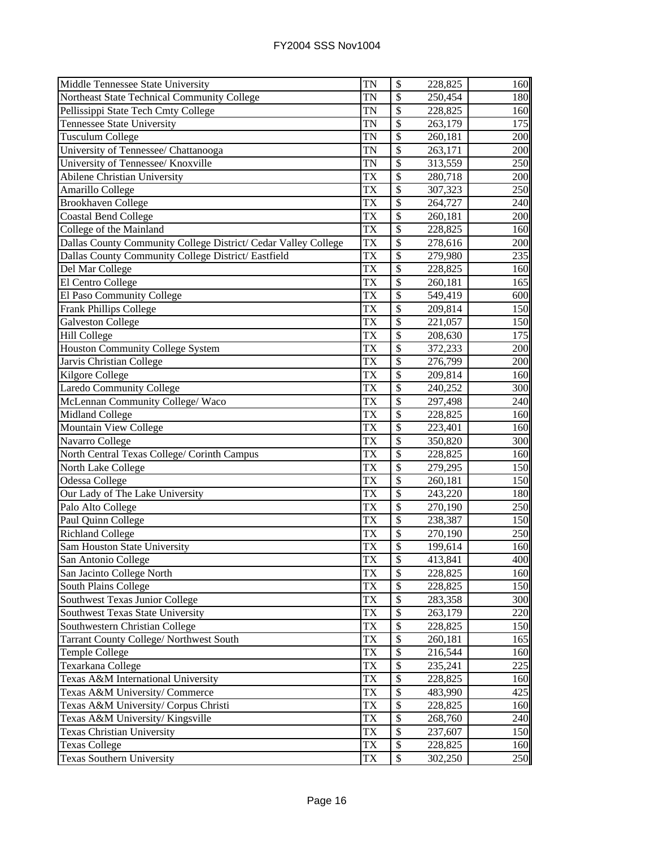| Middle Tennessee State University                              | <b>TN</b>              | \$                       | 228,825 | 160 |
|----------------------------------------------------------------|------------------------|--------------------------|---------|-----|
| Northeast State Technical Community College                    | $\overline{\text{TN}}$ | \$                       | 250,454 | 180 |
| Pellissippi State Tech Cmty College                            | <b>TN</b>              | $\overline{\$}$          | 228,825 | 160 |
| <b>Tennessee State University</b>                              | TN                     | \$                       | 263,179 | 175 |
| <b>Tusculum College</b>                                        | TN                     | $\overline{\$}$          | 260,181 | 200 |
| University of Tennessee/ Chattanooga                           | <b>TN</b>              | \$                       | 263,171 | 200 |
| University of Tennessee/ Knoxville                             | TN                     | \$                       | 313,559 | 250 |
| Abilene Christian University                                   | TX                     | \$                       | 280,718 | 200 |
| Amarillo College                                               | <b>TX</b>              | \$                       | 307,323 | 250 |
| <b>Brookhaven College</b>                                      | <b>TX</b>              | $\mathcal{S}$            | 264,727 | 240 |
| Coastal Bend College                                           | <b>TX</b>              | \$                       | 260,181 | 200 |
| College of the Mainland                                        | <b>TX</b>              | \$                       | 228,825 | 160 |
| Dallas County Community College District/ Cedar Valley College | <b>TX</b>              | \$                       | 278,616 | 200 |
| Dallas County Community College District/ Eastfield            | <b>TX</b>              | \$                       | 279,980 | 235 |
| Del Mar College                                                | <b>TX</b>              | \$                       | 228,825 | 160 |
| El Centro College                                              | <b>TX</b>              | \$                       | 260,181 | 165 |
| El Paso Community College                                      | <b>TX</b>              | \$                       | 549,419 | 600 |
| Frank Phillips College                                         | <b>TX</b>              | \$                       | 209,814 | 150 |
| <b>Galveston College</b>                                       | <b>TX</b>              | \$                       | 221,057 | 150 |
| <b>Hill College</b>                                            | TX                     | $\overline{\$}$          | 208,630 | 175 |
| Houston Community College System                               | TX                     | \$                       | 372,233 | 200 |
| Jarvis Christian College                                       | TX                     | \$                       | 276,799 | 200 |
| Kilgore College                                                | <b>TX</b>              | \$                       | 209,814 | 160 |
| <b>Laredo Community College</b>                                | TX                     | \$                       | 240,252 | 300 |
| McLennan Community College/ Waco                               | <b>TX</b>              | \$                       | 297,498 | 240 |
| <b>Midland College</b>                                         | <b>TX</b>              | \$                       | 228,825 | 160 |
| Mountain View College                                          | <b>TX</b>              | \$                       | 223,401 | 160 |
| Navarro College                                                | <b>TX</b>              | \$                       | 350,820 | 300 |
| North Central Texas College/ Corinth Campus                    | <b>TX</b>              | $\overline{\$}$          | 228,825 | 160 |
| North Lake College                                             | <b>TX</b>              | $\overline{\mathcal{S}}$ | 279,295 | 150 |
| Odessa College                                                 | <b>TX</b>              | \$                       | 260,181 | 150 |
| Our Lady of The Lake University                                | $\overline{\text{TX}}$ | \$                       | 243,220 | 180 |
| Palo Alto College                                              | <b>TX</b>              | $\overline{\mathcal{S}}$ | 270,190 | 250 |
| Paul Quinn College                                             | <b>TX</b>              | $\mathcal{S}$            | 238,387 | 150 |
| <b>Richland College</b>                                        | <b>TX</b>              | $\mathcal{S}$            | 270,190 | 250 |
| Sam Houston State University                                   | <b>TX</b>              | \$                       | 199,614 | 160 |
| San Antonio College                                            | TX                     | \$                       | 413,841 | 400 |
| San Jacinto College North                                      | <b>TX</b>              | \$                       | 228,825 | 160 |
| South Plains College                                           | TX                     | \$                       | 228,825 | 150 |
| Southwest Texas Junior College                                 | TX                     | \$                       | 283,358 | 300 |
| Southwest Texas State University                               | TX                     | \$                       | 263,179 | 220 |
| Southwestern Christian College                                 | TX                     | \$                       | 228,825 | 150 |
| Tarrant County College/ Northwest South                        | <b>TX</b>              | \$                       | 260,181 | 165 |
| <b>Temple College</b>                                          | <b>TX</b>              | \$                       | 216,544 | 160 |
| Texarkana College                                              | <b>TX</b>              | \$                       | 235,241 | 225 |
| Texas A&M International University                             | <b>TX</b>              | \$                       | 228,825 | 160 |
| Texas A&M University/ Commerce                                 | <b>TX</b>              | \$                       | 483,990 | 425 |
| Texas A&M University/ Corpus Christi                           | <b>TX</b>              | \$                       | 228,825 | 160 |
| Texas A&M University/ Kingsville                               | <b>TX</b>              | \$                       | 268,760 | 240 |
| <b>Texas Christian University</b>                              | <b>TX</b>              | \$                       | 237,607 | 150 |
| <b>Texas College</b>                                           | TX                     | \$                       | 228,825 | 160 |
| <b>Texas Southern University</b>                               | <b>TX</b>              | \$                       | 302,250 | 250 |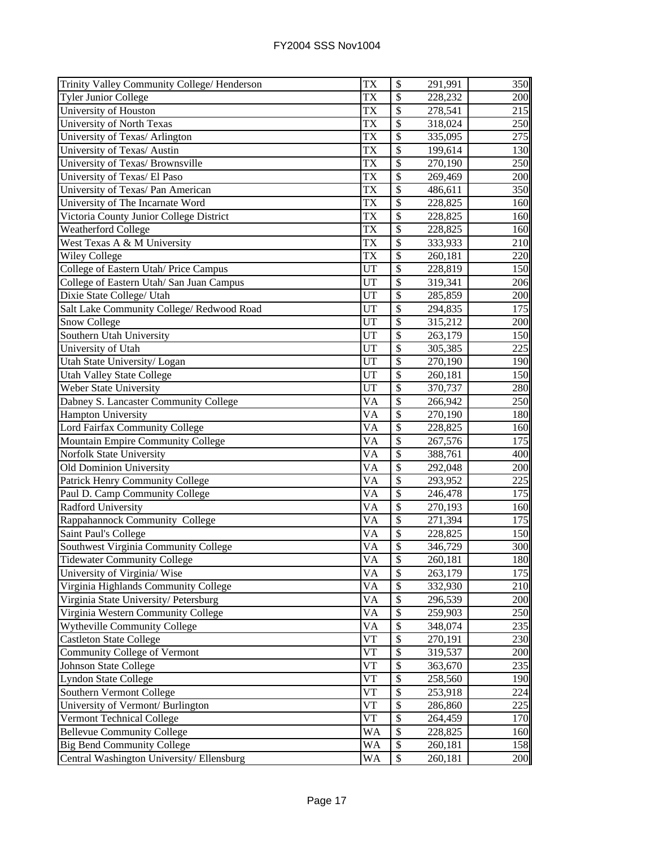| Trinity Valley Community College/ Henderson | <b>TX</b>       | $\boldsymbol{\$}$         | 291,991  | 350 |
|---------------------------------------------|-----------------|---------------------------|----------|-----|
| <b>Tyler Junior College</b>                 | <b>TX</b>       | $\overline{\$}$           | 228,232  | 200 |
| University of Houston                       | <b>TX</b>       | \$                        | 278,541  | 215 |
| <b>University of North Texas</b>            | <b>TX</b>       | $\overline{\$}$           | 318,024  | 250 |
| University of Texas/ Arlington              | <b>TX</b>       | \$                        | 335,095  | 275 |
| University of Texas/ Austin                 | <b>TX</b>       | \$                        | 199,614  | 130 |
| University of Texas/ Brownsville            | <b>TX</b>       | \$                        | 270,190  | 250 |
| University of Texas/ El Paso                | <b>TX</b>       | \$                        | 269,469  | 200 |
| University of Texas/ Pan American           | <b>TX</b>       | $\mathcal{S}$             | 486,611  | 350 |
| University of The Incarnate Word            | <b>TX</b>       | \$                        | 228,825  | 160 |
| Victoria County Junior College District     | <b>TX</b>       | $\boldsymbol{\mathsf{S}}$ | 228,825  | 160 |
| Weatherford College                         | <b>TX</b>       | \$                        | 228,825  | 160 |
| West Texas A & M University                 | <b>TX</b>       | \$                        | 333,933  | 210 |
| Wiley College                               | <b>TX</b>       | \$                        | 260,181  | 220 |
| College of Eastern Utah/ Price Campus       | <b>UT</b>       | $\overline{\$}$           | 228,819  | 150 |
| College of Eastern Utah/ San Juan Campus    | <b>UT</b>       | \$                        | 319,341  | 206 |
| Dixie State College/ Utah                   | <b>UT</b>       | \$                        | 285,859  | 200 |
| Salt Lake Community College/ Redwood Road   | UT              | \$                        | 294,835  | 175 |
| <b>Snow College</b>                         | UT              | $\overline{\$}$           | 315,212  | 200 |
| Southern Utah University                    | UT              | \$                        | 263,179  | 150 |
| University of Utah                          | UT              | \$                        | 305,385  | 225 |
| Utah State University/Logan                 | UT              | \$                        | 270,190  | 190 |
| <b>Utah Valley State College</b>            | UT              | \$                        | 260,181  | 150 |
| Weber State University                      | <b>UT</b>       | \$                        | 370,737  | 280 |
| Dabney S. Lancaster Community College       | <b>VA</b>       | \$                        | 266,942  | 250 |
| <b>Hampton University</b>                   | <b>VA</b>       | $\overline{\$}$           | 270,190  | 180 |
| Lord Fairfax Community College              | <b>VA</b>       | \$                        | 228,825  | 160 |
| Mountain Empire Community College           | <b>VA</b>       | $\boldsymbol{\mathsf{S}}$ | 267,576  | 175 |
| Norfolk State University                    | $\overline{VA}$ | $\overline{\mathcal{S}}$  | 388,761  | 400 |
| Old Dominion University                     | VA              | $\overline{\mathcal{S}}$  | 292,048  | 200 |
| Patrick Henry Community College             | $\overline{VA}$ | $\overline{\mathcal{S}}$  | 293,952  | 225 |
| Paul D. Camp Community College              | VA              | $\overline{\mathcal{S}}$  | 246,478  | 175 |
| <b>Radford University</b>                   | <b>VA</b>       | \$                        | 270,193  | 160 |
| Rappahannock Community College              | <b>VA</b>       | \$                        | 271,394  | 175 |
| Saint Paul's College                        | <b>VA</b>       | $\overline{\$}$           | 228,825  | 150 |
| Southwest Virginia Community College        | <b>VA</b>       | \$                        | 346,729  | 300 |
| <b>Tidewater Community College</b>          | $\overline{VA}$ | P                         | 260, 181 | 180 |
| University of Virginia/ Wise                | VA              | \$                        | 263,179  | 175 |
| Virginia Highlands Community College        | VA              | \$                        | 332,930  | 210 |
| Virginia State University/ Petersburg       | VA              | \$                        | 296,539  | 200 |
| Virginia Western Community College          | VA              | \$                        | 259,903  | 250 |
| Wytheville Community College                | VA              | \$                        | 348,074  | 235 |
| <b>Castleton State College</b>              | <b>VT</b>       | \$                        | 270,191  | 230 |
| Community College of Vermont                | <b>VT</b>       | \$                        | 319,537  | 200 |
| <b>Johnson State College</b>                | <b>VT</b>       | \$                        | 363,670  | 235 |
| <b>Lyndon State College</b>                 | <b>VT</b>       | \$                        | 258,560  | 190 |
| Southern Vermont College                    | <b>VT</b>       | \$                        | 253,918  | 224 |
| University of Vermont/ Burlington           | <b>VT</b>       | \$                        | 286,860  | 225 |
| Vermont Technical College                   | <b>VT</b>       | \$                        | 264,459  | 170 |
| <b>Bellevue Community College</b>           | <b>WA</b>       | \$                        | 228,825  | 160 |
| <b>Big Bend Community College</b>           | <b>WA</b>       | \$                        | 260,181  | 158 |
| Central Washington University/Ellensburg    | <b>WA</b>       | \$                        | 260,181  | 200 |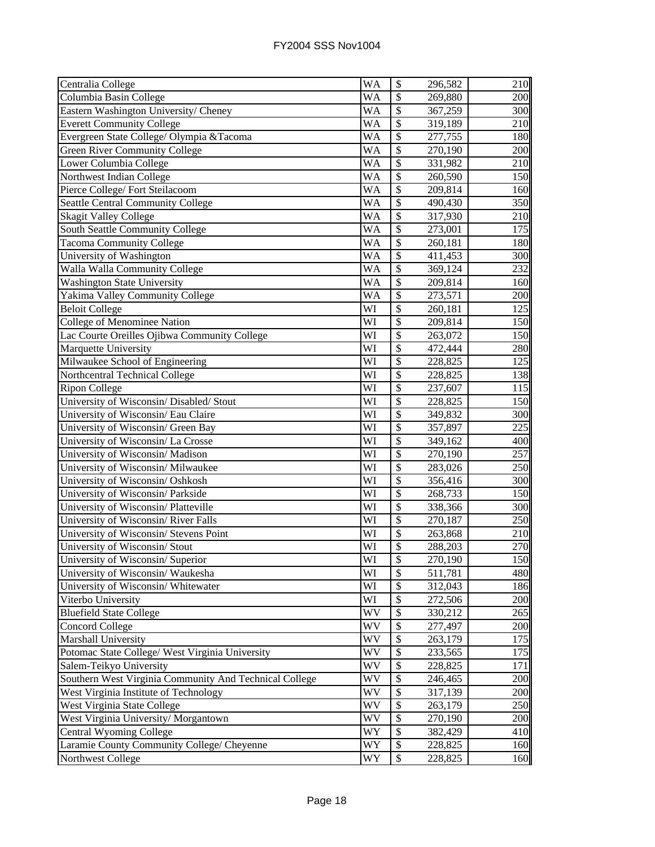| Centralia College                                      | <b>WA</b>              | \$                       | 296,582 | 210          |
|--------------------------------------------------------|------------------------|--------------------------|---------|--------------|
| Columbia Basin College                                 | WA                     | \$                       | 269,880 | 200          |
| Eastern Washington University/ Cheney                  | WA                     | \$                       | 367,259 | 300          |
| <b>Everett Community College</b>                       | WA                     | \$                       | 319,189 | 210          |
| Evergreen State College/Olympia & Tacoma               | <b>WA</b>              | \$                       | 277,755 | 180          |
| Green River Community College                          | $\overline{\text{WA}}$ | \$                       | 270,190 | 200          |
| Lower Columbia College                                 | $\overline{\text{WA}}$ | $\overline{\mathcal{S}}$ | 331,982 | 210          |
| Northwest Indian College                               | <b>WA</b>              | \$                       | 260,590 | 150          |
| Pierce College/Fort Steilacoom                         | $\overline{\text{WA}}$ | \$                       | 209,814 | 160          |
| <b>Seattle Central Community College</b>               | <b>WA</b>              | \$                       | 490,430 | 350          |
| <b>Skagit Valley College</b>                           | $\overline{\text{WA}}$ | \$                       | 317,930 | 210          |
| South Seattle Community College                        | <b>WA</b>              | \$                       | 273,001 | 175          |
| <b>Tacoma Community College</b>                        | WA                     | \$                       | 260,181 | 180          |
| University of Washington                               | <b>WA</b>              | \$                       | 411,453 | 300          |
| Walla Walla Community College                          | <b>WA</b>              | \$                       | 369,124 | 232          |
| <b>Washington State University</b>                     | $\overline{\text{WA}}$ | \$                       | 209,814 | 160          |
| Yakima Valley Community College                        | $\overline{\text{WA}}$ | $\overline{\$}$          | 273,571 | 200          |
| <b>Beloit College</b>                                  | WI                     | \$                       | 260,181 | 125          |
| College of Menominee Nation                            | WI                     | \$                       | 209,814 | 150          |
| Lac Courte Oreilles Ojibwa Community College           | WI                     | \$                       | 263,072 | 150          |
| Marquette University                                   | WI                     | \$                       | 472,444 | 280          |
| Milwaukee School of Engineering                        | WI                     | \$                       | 228,825 | 125          |
| Northcentral Technical College                         | WI                     | \$                       | 228,825 | 138          |
| <b>Ripon College</b>                                   | WI                     | $\overline{\$}$          | 237,607 | 115          |
| University of Wisconsin/ Disabled/ Stout               | WI                     | $\overline{\$}$          | 228,825 | 150          |
| University of Wisconsin/ Eau Claire                    | WI                     | \$                       | 349,832 | 300          |
| University of Wisconsin/ Green Bay                     | WI                     | $\overline{\$}$          | 357,897 | 225          |
| University of Wisconsin/La Crosse                      | WI                     | \$                       | 349,162 | 400          |
| University of Wisconsin/ Madison                       | WI                     | $\overline{\$}$          | 270,190 | 257          |
| University of Wisconsin/ Milwaukee                     | WI                     | $\overline{\$}$          | 283,026 | 250          |
| University of Wisconsin/Oshkosh                        | $\overline{\text{WI}}$ | $\overline{\$}$          | 356,416 | 300          |
| University of Wisconsin/ Parkside                      | $\overline{\text{WI}}$ | $\overline{\$}$          | 268,733 | 150          |
| University of Wisconsin/Platteville                    | WI                     | $\overline{\$}$          | 338,366 | 300          |
| University of Wisconsin/River Falls                    | WI                     | $\overline{\$}$          | 270,187 | 250          |
| University of Wisconsin/ Stevens Point                 | WI                     | \$                       | 263,868 | 210          |
| University of Wisconsin/ Stout                         | WI                     | \$                       | 288,203 | 270          |
| University of Wisconsin/Superior                       | WI                     | \$                       | 270,190 | 150 <b>1</b> |
| University of Wisconsin/Waukesha                       | WI                     | \$                       | 511,781 | 480          |
| University of Wisconsin/ Whitewater                    | WI                     | \$                       | 312,043 | 186          |
| Viterbo University                                     | WI                     | \$                       | 272,506 | 200          |
| <b>Bluefield State College</b>                         | WV                     | \$                       | 330,212 | 265          |
| <b>Concord College</b>                                 | WV                     | \$                       | 277,497 | 200          |
| Marshall University                                    | WV                     | \$                       | 263,179 | 175          |
| Potomac State College/ West Virginia University        | WV                     | \$                       | 233,565 | 175          |
| Salem-Teikyo University                                | WV                     | \$                       | 228,825 | 171          |
| Southern West Virginia Community And Technical College | WV                     | \$                       | 246,465 | 200          |
| West Virginia Institute of Technology                  | WV                     | \$                       | 317,139 | 200          |
| West Virginia State College                            | WV                     | \$                       | 263,179 | 250          |
| West Virginia University/Morgantown                    | WV                     | \$                       | 270,190 | 200          |
| Central Wyoming College                                | WY                     | \$                       | 382,429 | 410          |
| Laramie County Community College/ Cheyenne             | WY                     | \$                       | 228,825 | 160          |
| Northwest College                                      | WY                     | \$                       | 228,825 | 160          |